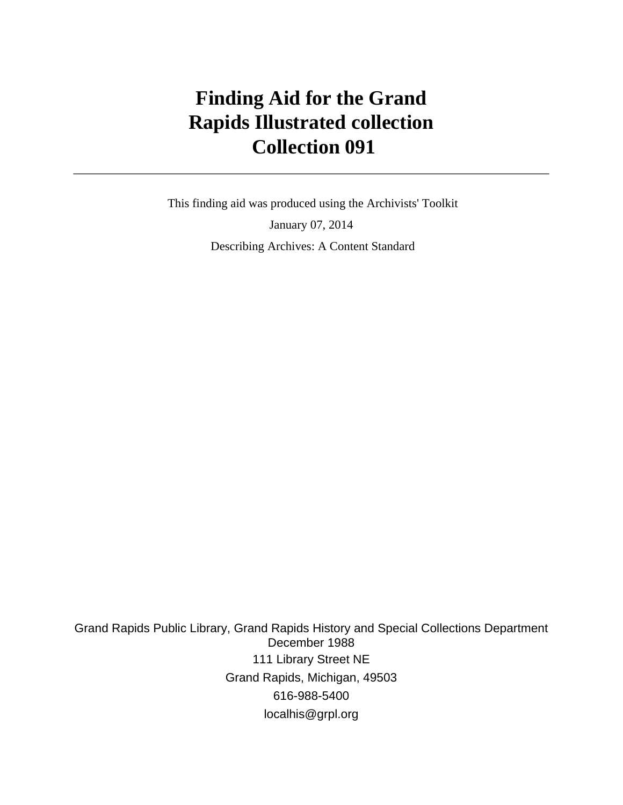# **Finding Aid for the Grand Rapids Illustrated collection Collection 091**

 This finding aid was produced using the Archivists' Toolkit January 07, 2014 Describing Archives: A Content Standard

Grand Rapids Public Library, Grand Rapids History and Special Collections Department December 1988 111 Library Street NE Grand Rapids, Michigan, 49503 616-988-5400 localhis@grpl.org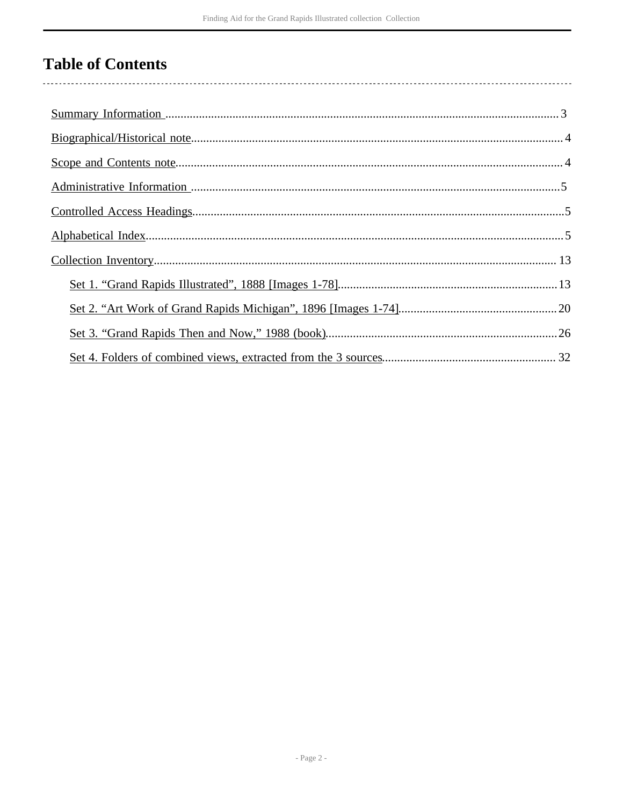# **Table of Contents**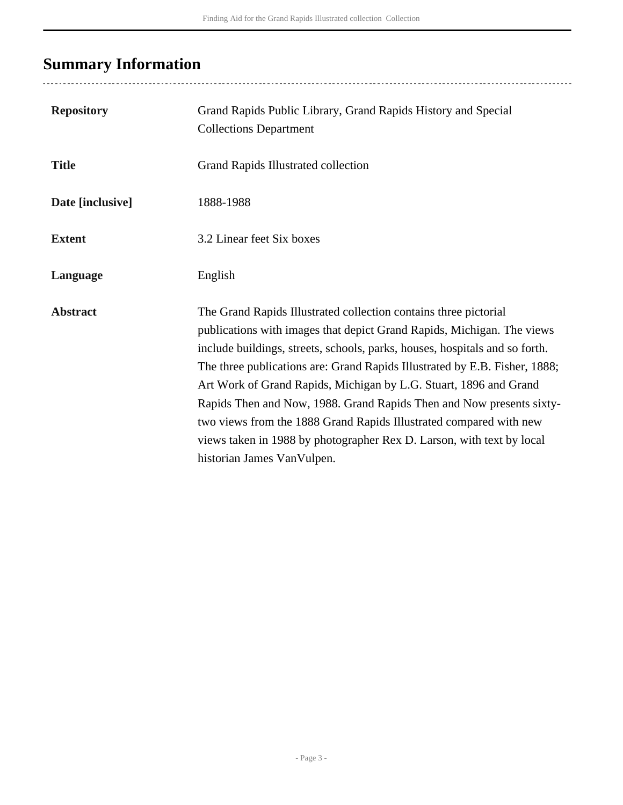# <span id="page-2-0"></span>**Summary Information**

..................................

| <b>Repository</b> | Grand Rapids Public Library, Grand Rapids History and Special<br><b>Collections Department</b>                                                                                                                                                                                                                                                                                                                                                                                                                                                                                                                                    |
|-------------------|-----------------------------------------------------------------------------------------------------------------------------------------------------------------------------------------------------------------------------------------------------------------------------------------------------------------------------------------------------------------------------------------------------------------------------------------------------------------------------------------------------------------------------------------------------------------------------------------------------------------------------------|
| <b>Title</b>      | Grand Rapids Illustrated collection                                                                                                                                                                                                                                                                                                                                                                                                                                                                                                                                                                                               |
| Date [inclusive]  | 1888-1988                                                                                                                                                                                                                                                                                                                                                                                                                                                                                                                                                                                                                         |
| <b>Extent</b>     | 3.2 Linear feet Six boxes                                                                                                                                                                                                                                                                                                                                                                                                                                                                                                                                                                                                         |
| Language          | English                                                                                                                                                                                                                                                                                                                                                                                                                                                                                                                                                                                                                           |
| <b>Abstract</b>   | The Grand Rapids Illustrated collection contains three pictorial<br>publications with images that depict Grand Rapids, Michigan. The views<br>include buildings, streets, schools, parks, houses, hospitals and so forth.<br>The three publications are: Grand Rapids Illustrated by E.B. Fisher, 1888;<br>Art Work of Grand Rapids, Michigan by L.G. Stuart, 1896 and Grand<br>Rapids Then and Now, 1988. Grand Rapids Then and Now presents sixty-<br>two views from the 1888 Grand Rapids Illustrated compared with new<br>views taken in 1988 by photographer Rex D. Larson, with text by local<br>historian James VanVulpen. |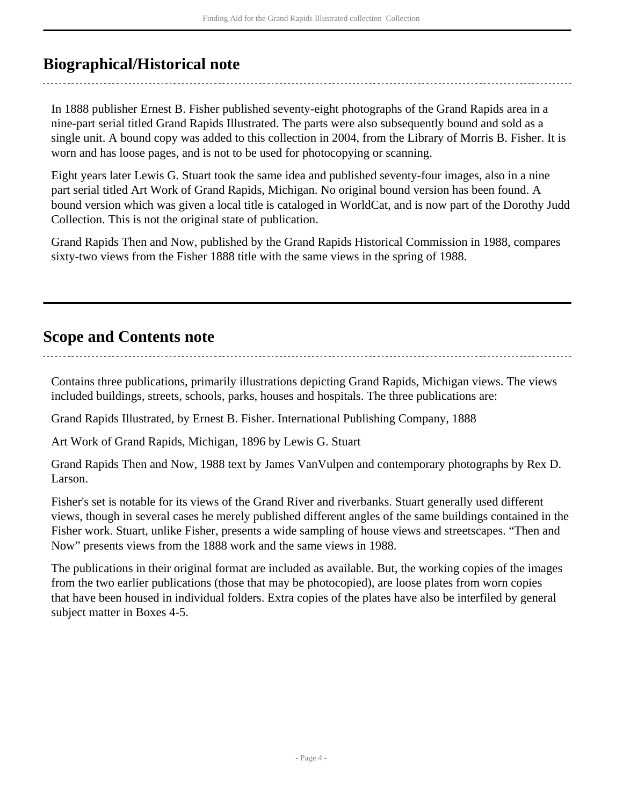## <span id="page-3-0"></span>**Biographical/Historical note**

In 1888 publisher Ernest B. Fisher published seventy-eight photographs of the Grand Rapids area in a nine-part serial titled Grand Rapids Illustrated. The parts were also subsequently bound and sold as a single unit. A bound copy was added to this collection in 2004, from the Library of Morris B. Fisher. It is worn and has loose pages, and is not to be used for photocopying or scanning.

Eight years later Lewis G. Stuart took the same idea and published seventy-four images, also in a nine part serial titled Art Work of Grand Rapids, Michigan. No original bound version has been found. A bound version which was given a local title is cataloged in WorldCat, and is now part of the Dorothy Judd Collection. This is not the original state of publication.

Grand Rapids Then and Now, published by the Grand Rapids Historical Commission in 1988, compares sixty-two views from the Fisher 1888 title with the same views in the spring of 1988.

## <span id="page-3-1"></span>**Scope and Contents note**

Contains three publications, primarily illustrations depicting Grand Rapids, Michigan views. The views included buildings, streets, schools, parks, houses and hospitals. The three publications are:

Grand Rapids Illustrated, by Ernest B. Fisher. International Publishing Company, 1888

Art Work of Grand Rapids, Michigan, 1896 by Lewis G. Stuart

Grand Rapids Then and Now, 1988 text by James VanVulpen and contemporary photographs by Rex D. Larson.

Fisher's set is notable for its views of the Grand River and riverbanks. Stuart generally used different views, though in several cases he merely published different angles of the same buildings contained in the Fisher work. Stuart, unlike Fisher, presents a wide sampling of house views and streetscapes. "Then and Now" presents views from the 1888 work and the same views in 1988.

The publications in their original format are included as available. But, the working copies of the images from the two earlier publications (those that may be photocopied), are loose plates from worn copies that have been housed in individual folders. Extra copies of the plates have also be interfiled by general subject matter in Boxes 4-5.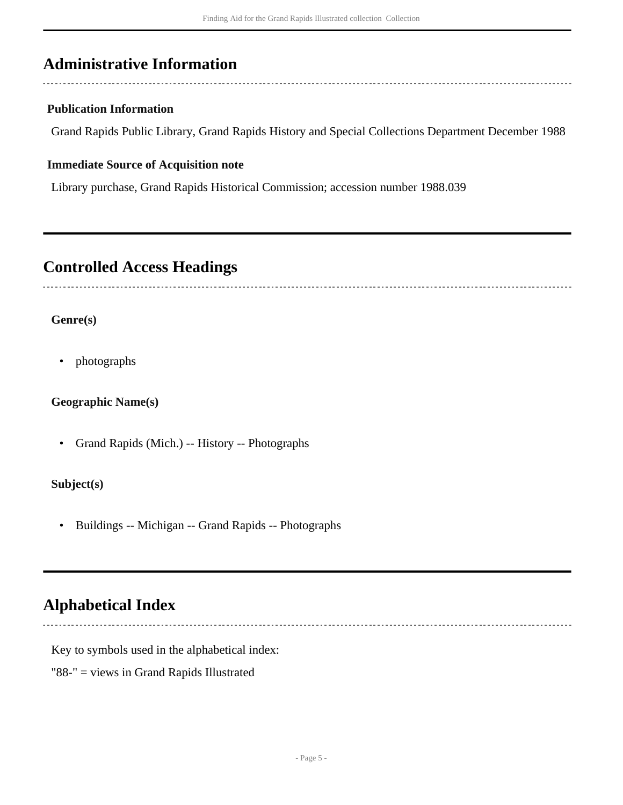## <span id="page-4-0"></span>**Administrative Information**

## **Publication Information**

Grand Rapids Public Library, Grand Rapids History and Special Collections Department December 1988

### **Immediate Source of Acquisition note**

Library purchase, Grand Rapids Historical Commission; accession number 1988.039

## <span id="page-4-1"></span>**Controlled Access Headings**

## **Genre(s)**

• photographs

## **Geographic Name(s)**

• Grand Rapids (Mich.) -- History -- Photographs

## **Subject(s)**

• Buildings -- Michigan -- Grand Rapids -- Photographs

## <span id="page-4-2"></span>**Alphabetical Index**

Key to symbols used in the alphabetical index:

"88-" = views in Grand Rapids Illustrated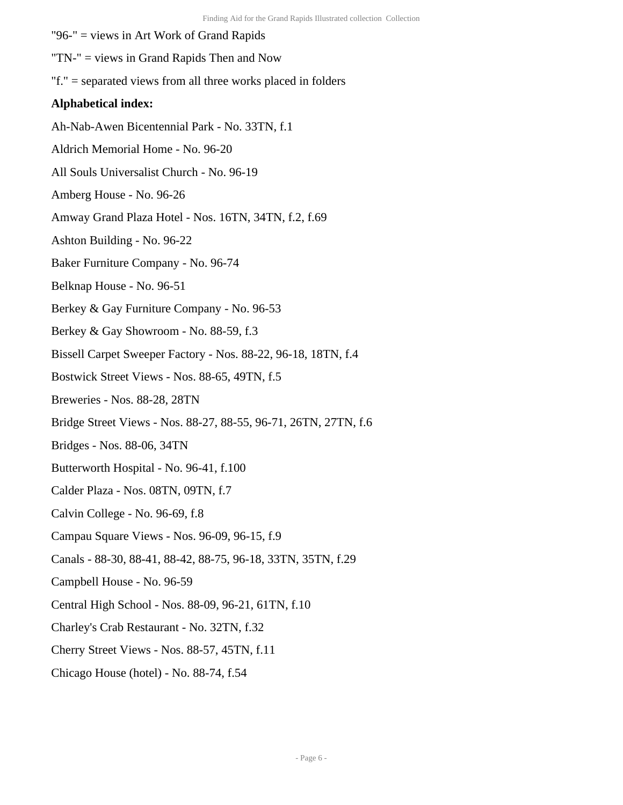- "96-" = views in Art Work of Grand Rapids
- "TN-" = views in Grand Rapids Then and Now
- "f." = separated views from all three works placed in folders

### **Alphabetical index:**

- Ah-Nab-Awen Bicentennial Park No. 33TN, f.1
- Aldrich Memorial Home No. 96-20
- All Souls Universalist Church No. 96-19
- Amberg House No. 96-26
- Amway Grand Plaza Hotel Nos. 16TN, 34TN, f.2, f.69
- Ashton Building No. 96-22
- Baker Furniture Company No. 96-74
- Belknap House No. 96-51
- Berkey & Gay Furniture Company No. 96-53
- Berkey & Gay Showroom No. 88-59, f.3
- Bissell Carpet Sweeper Factory Nos. 88-22, 96-18, 18TN, f.4
- Bostwick Street Views Nos. 88-65, 49TN, f.5
- Breweries Nos. 88-28, 28TN
- Bridge Street Views Nos. 88-27, 88-55, 96-71, 26TN, 27TN, f.6
- Bridges Nos. 88-06, 34TN
- Butterworth Hospital No. 96-41, f.100
- Calder Plaza Nos. 08TN, 09TN, f.7
- Calvin College No. 96-69, f.8
- Campau Square Views Nos. 96-09, 96-15, f.9
- Canals 88-30, 88-41, 88-42, 88-75, 96-18, 33TN, 35TN, f.29
- Campbell House No. 96-59
- Central High School Nos. 88-09, 96-21, 61TN, f.10
- Charley's Crab Restaurant No. 32TN, f.32
- Cherry Street Views Nos. 88-57, 45TN, f.11
- Chicago House (hotel) No. 88-74, f.54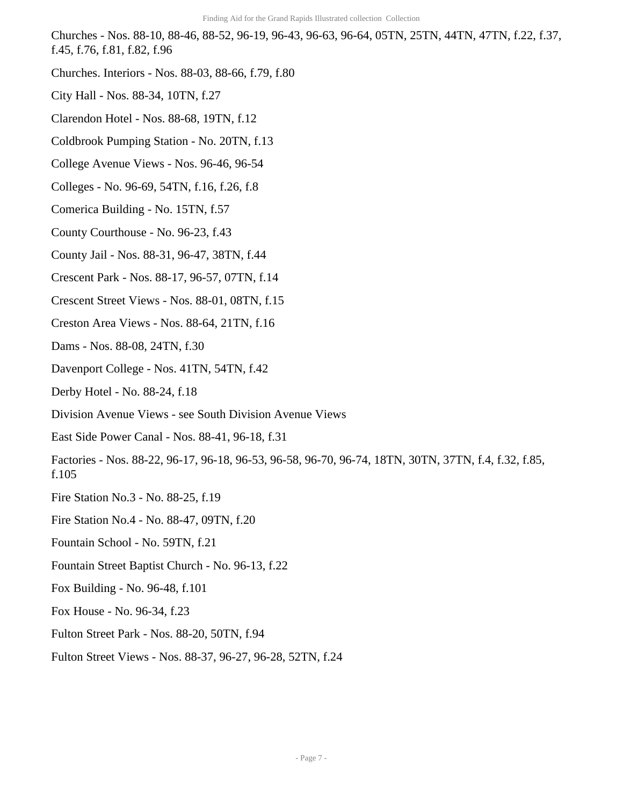Churches - Nos. 88-10, 88-46, 88-52, 96-19, 96-43, 96-63, 96-64, 05TN, 25TN, 44TN, 47TN, f.22, f.37, f.45, f.76, f.81, f.82, f.96

- Churches. Interiors Nos. 88-03, 88-66, f.79, f.80
- City Hall Nos. 88-34, 10TN, f.27
- Clarendon Hotel Nos. 88-68, 19TN, f.12
- Coldbrook Pumping Station No. 20TN, f.13
- College Avenue Views Nos. 96-46, 96-54
- Colleges No. 96-69, 54TN, f.16, f.26, f.8
- Comerica Building No. 15TN, f.57
- County Courthouse No. 96-23, f.43
- County Jail Nos. 88-31, 96-47, 38TN, f.44
- Crescent Park Nos. 88-17, 96-57, 07TN, f.14
- Crescent Street Views Nos. 88-01, 08TN, f.15
- Creston Area Views Nos. 88-64, 21TN, f.16
- Dams Nos. 88-08, 24TN, f.30
- Davenport College Nos. 41TN, 54TN, f.42
- Derby Hotel No. 88-24, f.18
- Division Avenue Views see South Division Avenue Views
- East Side Power Canal Nos. 88-41, 96-18, f.31
- Factories Nos. 88-22, 96-17, 96-18, 96-53, 96-58, 96-70, 96-74, 18TN, 30TN, 37TN, f.4, f.32, f.85, f.105
- Fire Station No.3 No. 88-25, f.19
- Fire Station No.4 No. 88-47, 09TN, f.20
- Fountain School No. 59TN, f.21
- Fountain Street Baptist Church No. 96-13, f.22
- Fox Building No. 96-48, f.101
- Fox House No. 96-34, f.23
- Fulton Street Park Nos. 88-20, 50TN, f.94
- Fulton Street Views Nos. 88-37, 96-27, 96-28, 52TN, f.24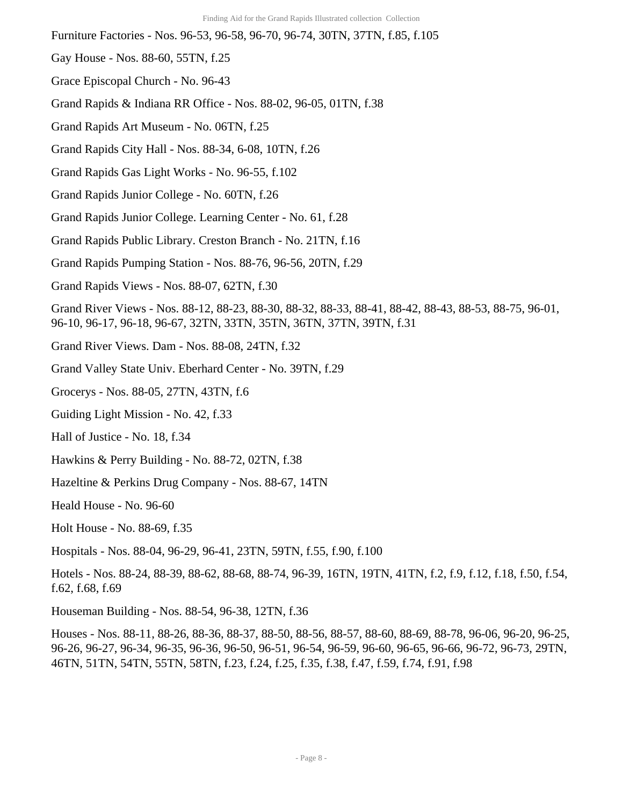- Furniture Factories Nos. 96-53, 96-58, 96-70, 96-74, 30TN, 37TN, f.85, f.105
- Gay House Nos. 88-60, 55TN, f.25
- Grace Episcopal Church No. 96-43
- Grand Rapids & Indiana RR Office Nos. 88-02, 96-05, 01TN, f.38
- Grand Rapids Art Museum No. 06TN, f.25
- Grand Rapids City Hall Nos. 88-34, 6-08, 10TN, f.26
- Grand Rapids Gas Light Works No. 96-55, f.102
- Grand Rapids Junior College No. 60TN, f.26
- Grand Rapids Junior College. Learning Center No. 61, f.28
- Grand Rapids Public Library. Creston Branch No. 21TN, f.16
- Grand Rapids Pumping Station Nos. 88-76, 96-56, 20TN, f.29
- Grand Rapids Views Nos. 88-07, 62TN, f.30
- Grand River Views Nos. 88-12, 88-23, 88-30, 88-32, 88-33, 88-41, 88-42, 88-43, 88-53, 88-75, 96-01, 96-10, 96-17, 96-18, 96-67, 32TN, 33TN, 35TN, 36TN, 37TN, 39TN, f.31
- Grand River Views. Dam Nos. 88-08, 24TN, f.32
- Grand Valley State Univ. Eberhard Center No. 39TN, f.29
- Grocerys Nos. 88-05, 27TN, 43TN, f.6
- Guiding Light Mission No. 42, f.33
- Hall of Justice No. 18, f.34
- Hawkins & Perry Building No. 88-72, 02TN, f.38
- Hazeltine & Perkins Drug Company Nos. 88-67, 14TN
- Heald House No. 96-60
- Holt House No. 88-69, f.35
- Hospitals Nos. 88-04, 96-29, 96-41, 23TN, 59TN, f.55, f.90, f.100
- Hotels Nos. 88-24, 88-39, 88-62, 88-68, 88-74, 96-39, 16TN, 19TN, 41TN, f.2, f.9, f.12, f.18, f.50, f.54, f.62, f.68, f.69
- Houseman Building Nos. 88-54, 96-38, 12TN, f.36
- Houses Nos. 88-11, 88-26, 88-36, 88-37, 88-50, 88-56, 88-57, 88-60, 88-69, 88-78, 96-06, 96-20, 96-25, 96-26, 96-27, 96-34, 96-35, 96-36, 96-50, 96-51, 96-54, 96-59, 96-60, 96-65, 96-66, 96-72, 96-73, 29TN, 46TN, 51TN, 54TN, 55TN, 58TN, f.23, f.24, f.25, f.35, f.38, f.47, f.59, f.74, f.91, f.98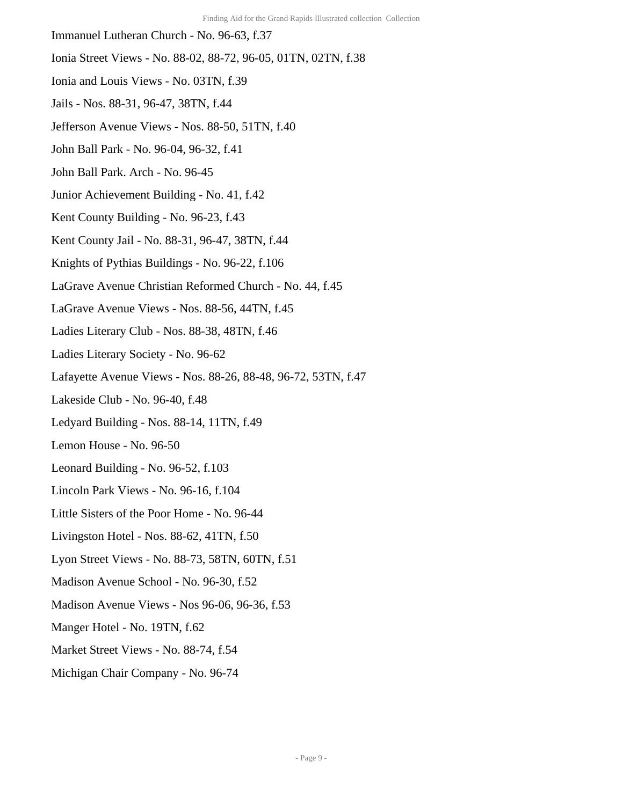- Immanuel Lutheran Church No. 96-63, f.37
- Ionia Street Views No. 88-02, 88-72, 96-05, 01TN, 02TN, f.38
- Ionia and Louis Views No. 03TN, f.39
- Jails Nos. 88-31, 96-47, 38TN, f.44
- Jefferson Avenue Views Nos. 88-50, 51TN, f.40
- John Ball Park No. 96-04, 96-32, f.41
- John Ball Park. Arch No. 96-45
- Junior Achievement Building No. 41, f.42
- Kent County Building No. 96-23, f.43
- Kent County Jail No. 88-31, 96-47, 38TN, f.44
- Knights of Pythias Buildings No. 96-22, f.106
- LaGrave Avenue Christian Reformed Church No. 44, f.45
- LaGrave Avenue Views Nos. 88-56, 44TN, f.45
- Ladies Literary Club Nos. 88-38, 48TN, f.46
- Ladies Literary Society No. 96-62
- Lafayette Avenue Views Nos. 88-26, 88-48, 96-72, 53TN, f.47
- Lakeside Club No. 96-40, f.48
- Ledyard Building Nos. 88-14, 11TN, f.49
- Lemon House No. 96-50
- Leonard Building No. 96-52, f.103
- Lincoln Park Views No. 96-16, f.104
- Little Sisters of the Poor Home No. 96-44
- Livingston Hotel Nos. 88-62, 41TN, f.50
- Lyon Street Views No. 88-73, 58TN, 60TN, f.51
- Madison Avenue School No. 96-30, f.52
- Madison Avenue Views Nos 96-06, 96-36, f.53
- Manger Hotel No. 19TN, f.62
- Market Street Views No. 88-74, f.54
- Michigan Chair Company No. 96-74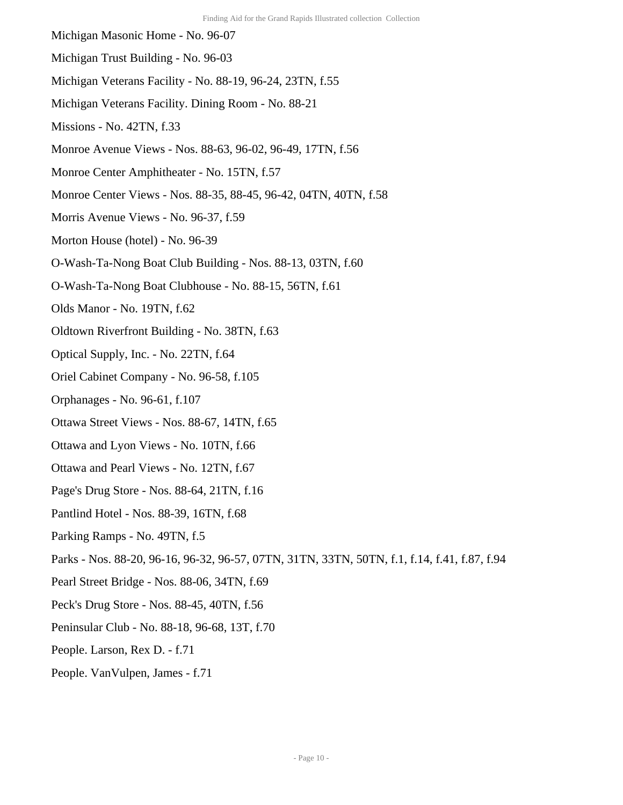- Michigan Masonic Home No. 96-07
- Michigan Trust Building No. 96-03
- Michigan Veterans Facility No. 88-19, 96-24, 23TN, f.55
- Michigan Veterans Facility. Dining Room No. 88-21
- Missions No. 42TN, f.33
- Monroe Avenue Views Nos. 88-63, 96-02, 96-49, 17TN, f.56
- Monroe Center Amphitheater No. 15TN, f.57
- Monroe Center Views Nos. 88-35, 88-45, 96-42, 04TN, 40TN, f.58
- Morris Avenue Views No. 96-37, f.59
- Morton House (hotel) No. 96-39
- O-Wash-Ta-Nong Boat Club Building Nos. 88-13, 03TN, f.60
- O-Wash-Ta-Nong Boat Clubhouse No. 88-15, 56TN, f.61
- Olds Manor No. 19TN, f.62
- Oldtown Riverfront Building No. 38TN, f.63
- Optical Supply, Inc. No. 22TN, f.64
- Oriel Cabinet Company No. 96-58, f.105
- Orphanages No. 96-61, f.107
- Ottawa Street Views Nos. 88-67, 14TN, f.65
- Ottawa and Lyon Views No. 10TN, f.66
- Ottawa and Pearl Views No. 12TN, f.67
- Page's Drug Store Nos. 88-64, 21TN, f.16
- Pantlind Hotel Nos. 88-39, 16TN, f.68
- Parking Ramps No. 49TN, f.5
- Parks Nos. 88-20, 96-16, 96-32, 96-57, 07TN, 31TN, 33TN, 50TN, f.1, f.14, f.41, f.87, f.94
- Pearl Street Bridge Nos. 88-06, 34TN, f.69
- Peck's Drug Store Nos. 88-45, 40TN, f.56
- Peninsular Club No. 88-18, 96-68, 13T, f.70
- People. Larson, Rex D. f.71
- People. VanVulpen, James f.71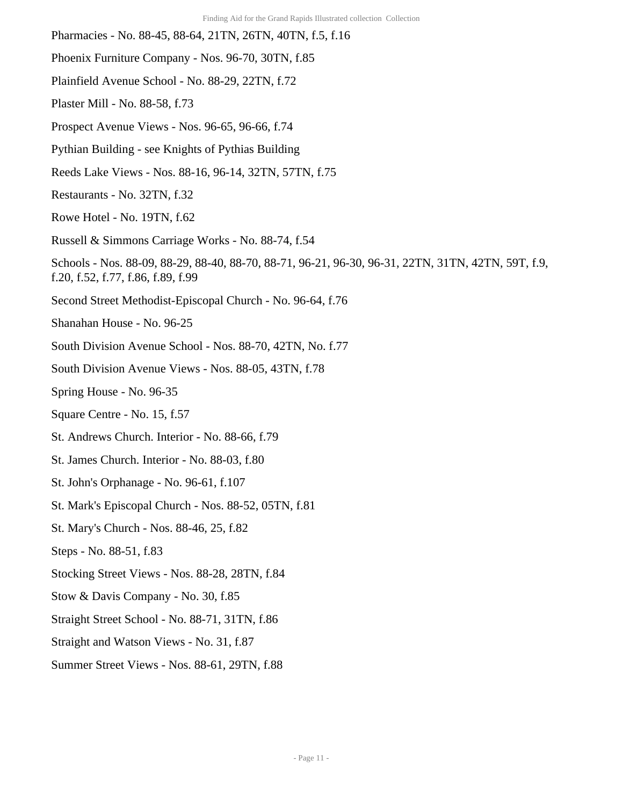- Pharmacies No. 88-45, 88-64, 21TN, 26TN, 40TN, f.5, f.16 Phoenix Furniture Company - Nos. 96-70, 30TN, f.85 Plainfield Avenue School - No. 88-29, 22TN, f.72 Plaster Mill - No. 88-58, f.73 Prospect Avenue Views - Nos. 96-65, 96-66, f.74 Pythian Building - see Knights of Pythias Building Reeds Lake Views - Nos. 88-16, 96-14, 32TN, 57TN, f.75 Restaurants - No. 32TN, f.32 Rowe Hotel - No. 19TN, f.62 Russell & Simmons Carriage Works - No. 88-74, f.54 Schools - Nos. 88-09, 88-29, 88-40, 88-70, 88-71, 96-21, 96-30, 96-31, 22TN, 31TN, 42TN, 59T, f.9, f.20, f.52, f.77, f.86, f.89, f.99
	- Second Street Methodist-Episcopal Church No. 96-64, f.76
	- Shanahan House No. 96-25
	- South Division Avenue School Nos. 88-70, 42TN, No. f.77
	- South Division Avenue Views Nos. 88-05, 43TN, f.78
	- Spring House No. 96-35
	- Square Centre No. 15, f.57
	- St. Andrews Church. Interior No. 88-66, f.79
	- St. James Church. Interior No. 88-03, f.80
	- St. John's Orphanage No. 96-61, f.107
	- St. Mark's Episcopal Church Nos. 88-52, 05TN, f.81
	- St. Mary's Church Nos. 88-46, 25, f.82
	- Steps No. 88-51, f.83
	- Stocking Street Views Nos. 88-28, 28TN, f.84
	- Stow & Davis Company No. 30, f.85
	- Straight Street School No. 88-71, 31TN, f.86
	- Straight and Watson Views No. 31, f.87
	- Summer Street Views Nos. 88-61, 29TN, f.88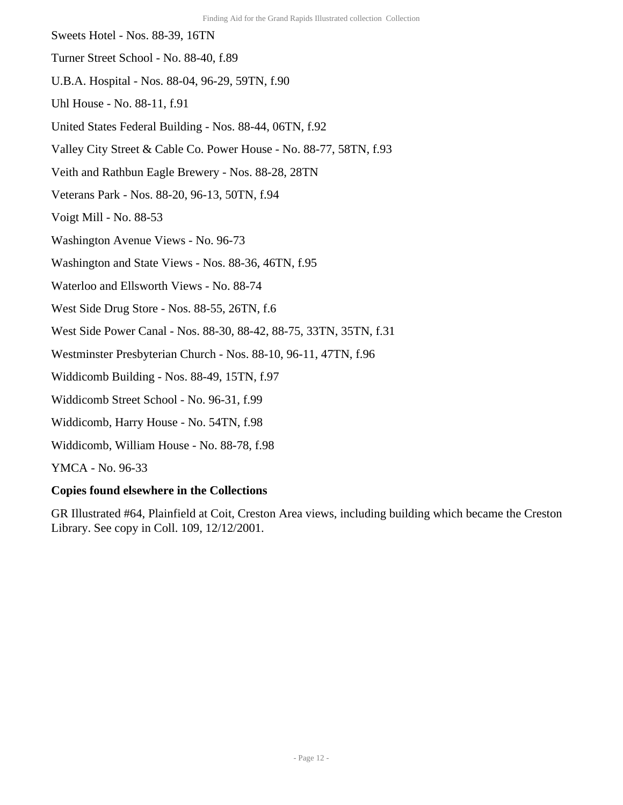- Sweets Hotel Nos. 88-39, 16TN
- Turner Street School No. 88-40, f.89
- U.B.A. Hospital Nos. 88-04, 96-29, 59TN, f.90
- Uhl House No. 88-11, f.91
- United States Federal Building Nos. 88-44, 06TN, f.92
- Valley City Street & Cable Co. Power House No. 88-77, 58TN, f.93
- Veith and Rathbun Eagle Brewery Nos. 88-28, 28TN
- Veterans Park Nos. 88-20, 96-13, 50TN, f.94
- Voigt Mill No. 88-53
- Washington Avenue Views No. 96-73
- Washington and State Views Nos. 88-36, 46TN, f.95
- Waterloo and Ellsworth Views No. 88-74
- West Side Drug Store Nos. 88-55, 26TN, f.6
- West Side Power Canal Nos. 88-30, 88-42, 88-75, 33TN, 35TN, f.31
- Westminster Presbyterian Church Nos. 88-10, 96-11, 47TN, f.96
- Widdicomb Building Nos. 88-49, 15TN, f.97
- Widdicomb Street School No. 96-31, f.99
- Widdicomb, Harry House No. 54TN, f.98
- Widdicomb, William House No. 88-78, f.98

YMCA - No. 96-33

#### **Copies found elsewhere in the Collections**

GR Illustrated #64, Plainfield at Coit, Creston Area views, including building which became the Creston Library. See copy in Coll. 109, 12/12/2001.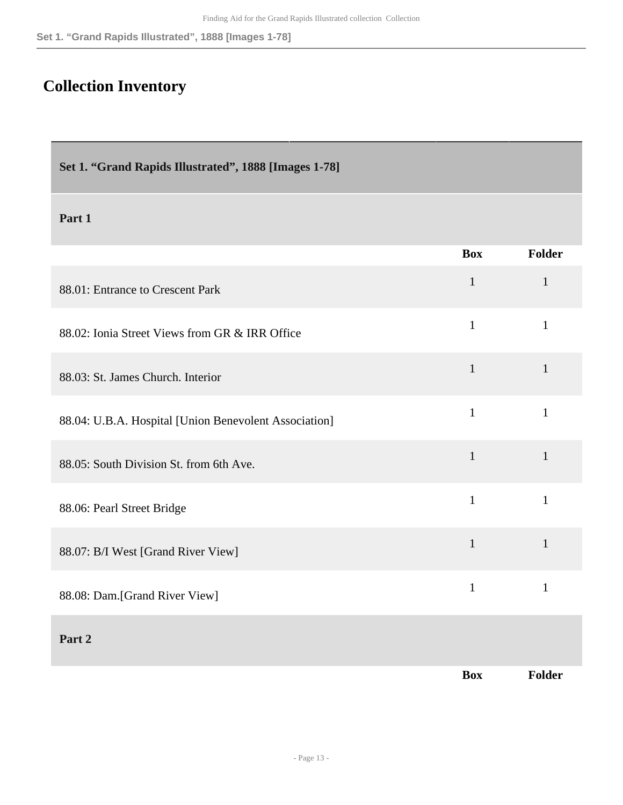# <span id="page-12-0"></span>**Collection Inventory**

<span id="page-12-1"></span>

|  |  |  |  |  | Set 1. "Grand Rapids Illustrated", 1888 [Images 1-78] |
|--|--|--|--|--|-------------------------------------------------------|
|--|--|--|--|--|-------------------------------------------------------|

|                                                       | <b>Box</b>   | <b>Folder</b> |
|-------------------------------------------------------|--------------|---------------|
| 88.01: Entrance to Crescent Park                      | $\mathbf{1}$ | $\mathbf{1}$  |
| 88.02: Ionia Street Views from GR & IRR Office        | $\mathbf{1}$ | $\mathbf{1}$  |
| 88.03: St. James Church. Interior                     | $\mathbf{1}$ | $\mathbf{1}$  |
| 88.04: U.B.A. Hospital [Union Benevolent Association] | $\mathbf{1}$ | $\mathbf{1}$  |
| 88.05: South Division St. from 6th Ave.               | $\mathbf{1}$ | $\mathbf{1}$  |
| 88.06: Pearl Street Bridge                            | $\mathbf{1}$ | $\mathbf{1}$  |
| 88.07: B/I West [Grand River View]                    | $\mathbf{1}$ | $\mathbf{1}$  |
| 88.08: Dam.[Grand River View]                         | $\mathbf{1}$ | $\mathbf{1}$  |
| Part 2                                                |              |               |
|                                                       | <b>Box</b>   | <b>Folder</b> |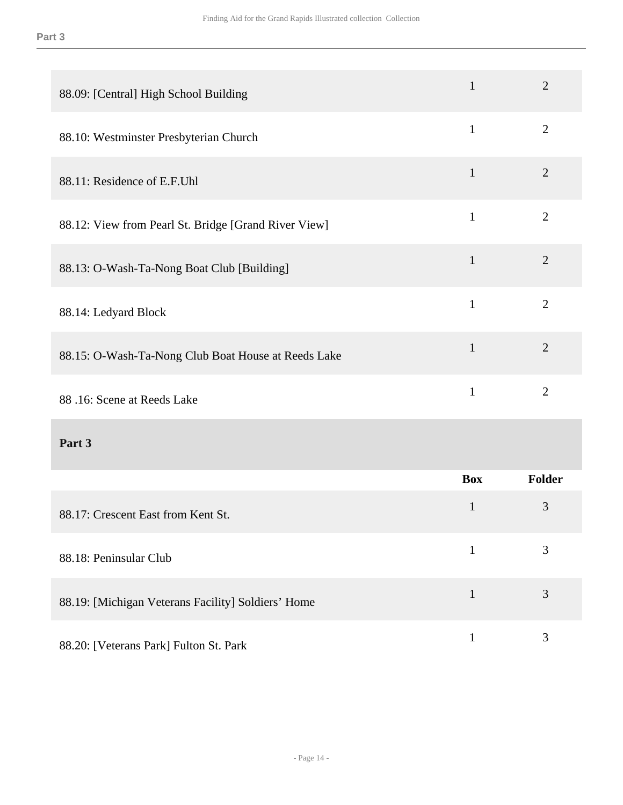| 88.09: [Central] High School Building                | $\mathbf{1}$ | $\overline{2}$ |
|------------------------------------------------------|--------------|----------------|
| 88.10: Westminster Presbyterian Church               | $\mathbf{1}$ | $\overline{2}$ |
| 88.11: Residence of E.F.Uhl                          | $\mathbf{1}$ | $\overline{2}$ |
| 88.12: View from Pearl St. Bridge [Grand River View] | $\mathbf{1}$ | $\overline{2}$ |
| 88.13: O-Wash-Ta-Nong Boat Club [Building]           | $\mathbf{1}$ | $\overline{2}$ |
| 88.14: Ledyard Block                                 | $\mathbf{1}$ | $\overline{2}$ |
| 88.15: O-Wash-Ta-Nong Club Boat House at Reeds Lake  | $\mathbf{1}$ | $\overline{2}$ |
| 88.16: Scene at Reeds Lake                           | $\mathbf{1}$ | $\overline{2}$ |
| Part 3                                               |              |                |
|                                                      | <b>Box</b>   | <b>Folder</b>  |
| 88.17: Crescent East from Kent St.                   | $\mathbf{1}$ | 3              |
| 88.18: Peninsular Club                               | $\mathbf{1}$ | 3              |
| 88.19: [Michigan Veterans Facility] Soldiers' Home   | $\mathbf{1}$ | 3              |
| 88.20: [Veterans Park] Fulton St. Park               | $\mathbf 1$  | $\mathfrak{Z}$ |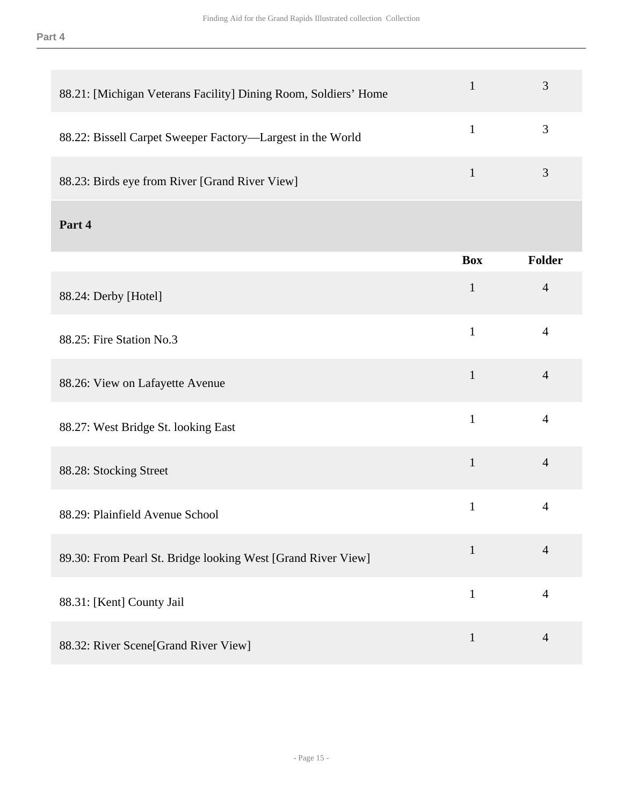| 88.21: [Michigan Veterans Facility] Dining Room, Soldiers' Home | $\mathbf{1}$ | 3              |
|-----------------------------------------------------------------|--------------|----------------|
| 88.22: Bissell Carpet Sweeper Factory-Largest in the World      | $\mathbf{1}$ | 3              |
| 88.23: Birds eye from River [Grand River View]                  | $\mathbf{1}$ | 3              |
| Part 4                                                          |              |                |
|                                                                 | <b>Box</b>   | Folder         |
| 88.24: Derby [Hotel]                                            | $\mathbf{1}$ | $\overline{4}$ |
| 88.25: Fire Station No.3                                        | $\mathbf{1}$ | $\overline{4}$ |
| 88.26: View on Lafayette Avenue                                 | $\mathbf{1}$ | $\overline{4}$ |
| 88.27: West Bridge St. looking East                             | $\mathbf{1}$ | $\overline{4}$ |
| 88.28: Stocking Street                                          | $\mathbf{1}$ | $\overline{4}$ |
| 88.29: Plainfield Avenue School                                 | $\mathbf{1}$ | $\overline{4}$ |
| 89.30: From Pearl St. Bridge looking West [Grand River View]    | $\mathbf{1}$ | $\overline{4}$ |
| 88.31: [Kent] County Jail                                       | $\mathbf{1}$ | $\overline{4}$ |
| 88.32: River Scene[Grand River View]                            | $\mathbf{1}$ | $\overline{4}$ |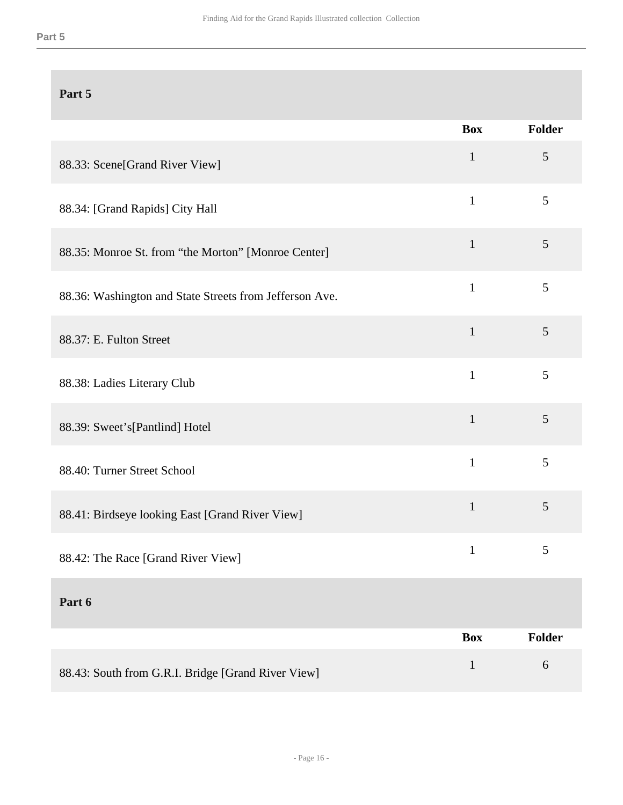|                                                         | <b>Box</b>   | Folder         |
|---------------------------------------------------------|--------------|----------------|
| 88.33: Scene[Grand River View]                          | $\mathbf{1}$ | 5              |
| 88.34: [Grand Rapids] City Hall                         | $\mathbf{1}$ | 5              |
| 88.35: Monroe St. from "the Morton" [Monroe Center]     | $\mathbf{1}$ | 5              |
| 88.36: Washington and State Streets from Jefferson Ave. | $\mathbf{1}$ | 5              |
| 88.37: E. Fulton Street                                 | $\mathbf{1}$ | 5              |
| 88.38: Ladies Literary Club                             | $\mathbf{1}$ | 5              |
| 88.39: Sweet's[Pantlind] Hotel                          | $\mathbf{1}$ | 5              |
| 88.40: Turner Street School                             | $\mathbf{1}$ | 5              |
| 88.41: Birdseye looking East [Grand River View]         | $\mathbf{1}$ | $\mathfrak{S}$ |
| 88.42: The Race [Grand River View]                      | $\mathbf{1}$ | 5              |
| Part 6                                                  |              |                |
|                                                         | <b>Box</b>   | Folder         |
| 88.43: South from G.R.I. Bridge [Grand River View]      | $\mathbf{1}$ | 6              |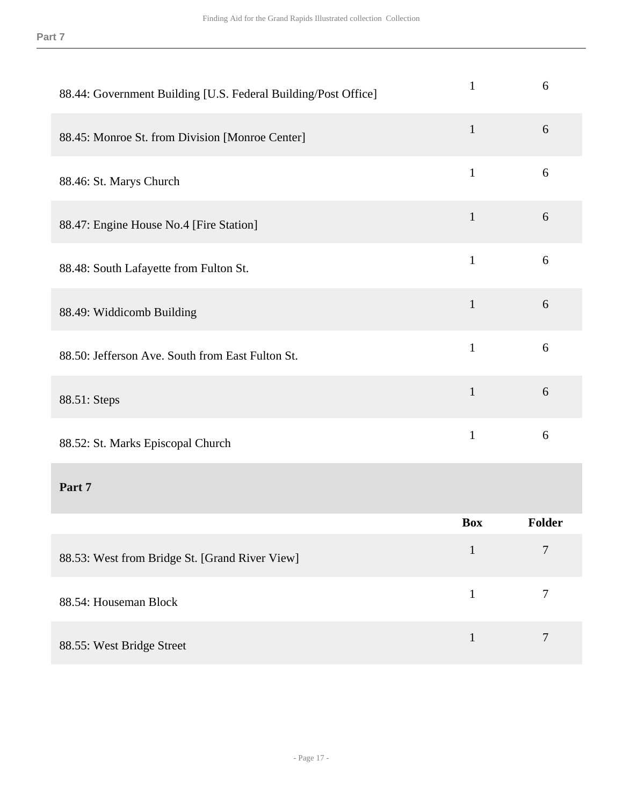| 88.44: Government Building [U.S. Federal Building/Post Office] | $\mathbf{1}$ | 6                |
|----------------------------------------------------------------|--------------|------------------|
| 88.45: Monroe St. from Division [Monroe Center]                | $\mathbf{1}$ | 6                |
| 88.46: St. Marys Church                                        | $\mathbf{1}$ | 6                |
| 88.47: Engine House No.4 [Fire Station]                        | $\mathbf{1}$ | 6                |
| 88.48: South Lafayette from Fulton St.                         | $\mathbf{1}$ | 6                |
| 88.49: Widdicomb Building                                      | $\mathbf{1}$ | 6                |
| 88.50: Jefferson Ave. South from East Fulton St.               | $\mathbf{1}$ | 6                |
| 88.51: Steps                                                   | $\mathbf{1}$ | 6                |
| 88.52: St. Marks Episcopal Church                              | $\mathbf{1}$ | 6                |
| Part 7                                                         |              |                  |
|                                                                | <b>Box</b>   | Folder           |
| 88.53: West from Bridge St. [Grand River View]                 | $\mathbf{1}$ | $\overline{7}$   |
| 88.54: Houseman Block                                          | $\mathbf{1}$ | $\boldsymbol{7}$ |
| 88.55: West Bridge Street                                      | $\mathbf{1}$ | $\overline{7}$   |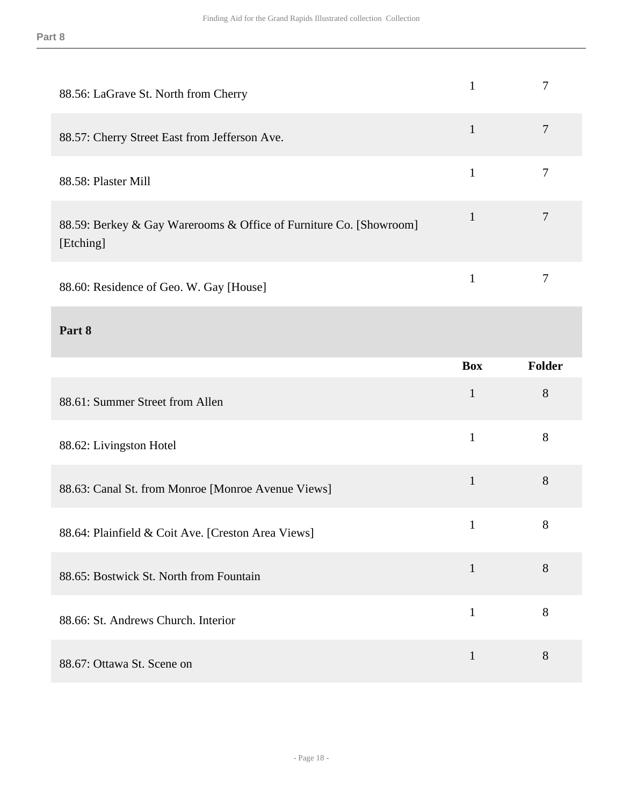| 88.56: LaGrave St. North from Cherry                                            | $\mathbf{1}$ | $\tau$         |
|---------------------------------------------------------------------------------|--------------|----------------|
| 88.57: Cherry Street East from Jefferson Ave.                                   | $\mathbf{1}$ | $\tau$         |
| 88.58: Plaster Mill                                                             | $\mathbf{1}$ | $\tau$         |
| 88.59: Berkey & Gay Warerooms & Office of Furniture Co. [Showroom]<br>[Etching] | $\mathbf{1}$ | $\overline{7}$ |
| 88.60: Residence of Geo. W. Gay [House]                                         | $\mathbf{1}$ | $\tau$         |
| Part 8                                                                          |              |                |
|                                                                                 | <b>Box</b>   |                |
|                                                                                 |              | Folder         |
| 88.61: Summer Street from Allen                                                 | $\mathbf{1}$ | 8              |
| 88.62: Livingston Hotel                                                         | $\mathbf{1}$ | 8              |
| 88.63: Canal St. from Monroe [Monroe Avenue Views]                              | $\mathbf{1}$ | 8              |
| 88.64: Plainfield & Coit Ave. [Creston Area Views]                              | $\mathbf{1}$ | 8              |
| 88.65: Bostwick St. North from Fountain                                         | $\mathbf{1}$ | 8              |
| 88.66: St. Andrews Church. Interior                                             | $\mathbf{1}$ | 8              |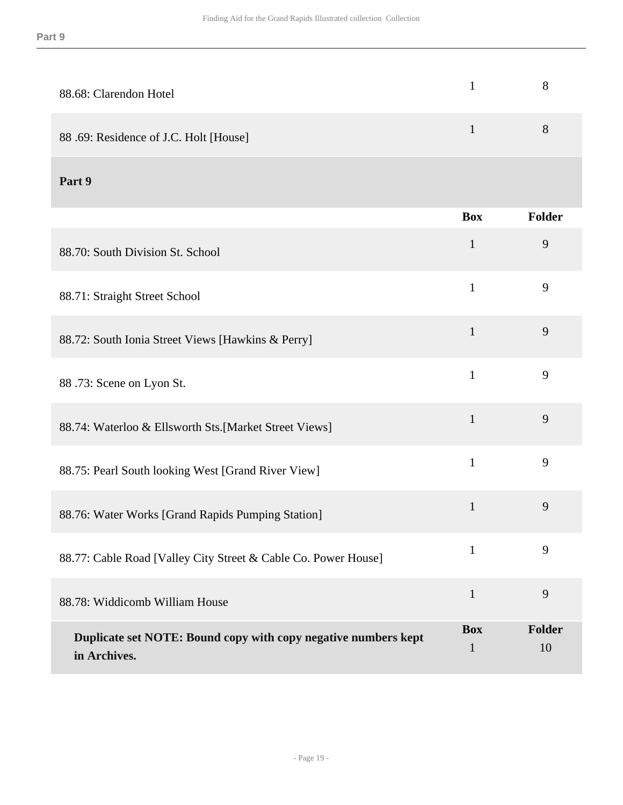| 88.68: Clarendon Hotel                |   |
|---------------------------------------|---|
| 88.69: Residence of J.C. Holt [House] | 8 |

|                                                                                | <b>Box</b>                 | <b>Folder</b> |
|--------------------------------------------------------------------------------|----------------------------|---------------|
| 88.70: South Division St. School                                               | $\mathbf{1}$               | 9             |
| 88.71: Straight Street School                                                  | $\mathbf{1}$               | 9             |
| 88.72: South Ionia Street Views [Hawkins & Perry]                              | $\mathbf{1}$               | 9             |
| 88.73: Scene on Lyon St.                                                       | $\mathbf{1}$               | 9             |
| 88.74: Waterloo & Ellsworth Sts.[Market Street Views]                          | $\mathbf{1}$               | 9             |
| 88.75: Pearl South looking West [Grand River View]                             | $\mathbf{1}$               | 9             |
| 88.76: Water Works [Grand Rapids Pumping Station]                              | $\mathbf{1}$               | 9             |
| 88.77: Cable Road [Valley City Street & Cable Co. Power House]                 | $\mathbf{1}$               | 9             |
| 88.78: Widdicomb William House                                                 | $\mathbf{1}$               | 9             |
| Duplicate set NOTE: Bound copy with copy negative numbers kept<br>in Archives. | <b>Box</b><br>$\mathbf{1}$ | Folder<br>10  |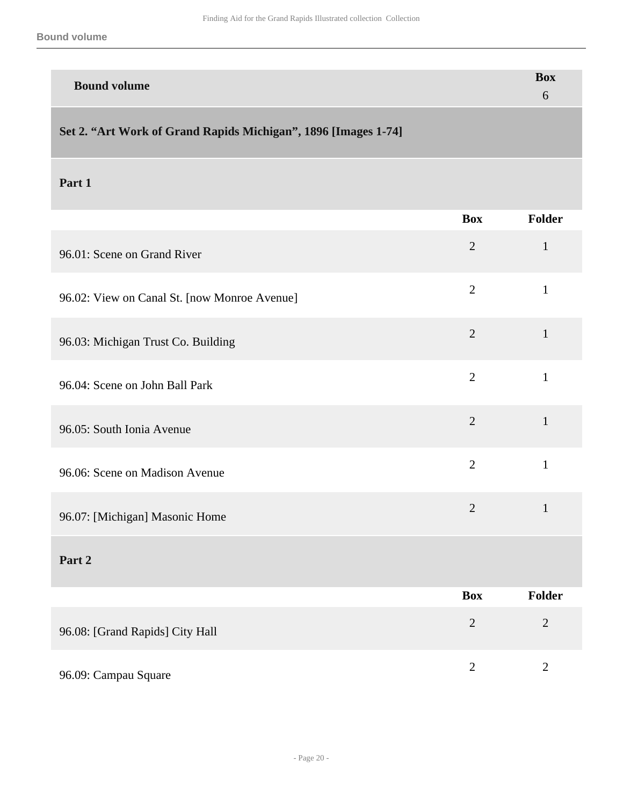| <b>Bound volume</b> | <b>Box</b> |
|---------------------|------------|
|                     |            |

## <span id="page-19-0"></span>**Set 2. "Art Work of Grand Rapids Michigan", 1896 [Images 1-74]**

|                                              | <b>Box</b>     | Folder         |
|----------------------------------------------|----------------|----------------|
| 96.01: Scene on Grand River                  | $\overline{2}$ | $\mathbf{1}$   |
| 96.02: View on Canal St. [now Monroe Avenue] | $\overline{2}$ | $\mathbf{1}$   |
| 96.03: Michigan Trust Co. Building           | $\overline{2}$ | $\mathbf{1}$   |
| 96.04: Scene on John Ball Park               | $\overline{2}$ | $\mathbf{1}$   |
| 96.05: South Ionia Avenue                    | $\overline{2}$ | $\mathbf{1}$   |
| 96.06: Scene on Madison Avenue               | $\overline{2}$ | $\mathbf{1}$   |
| 96.07: [Michigan] Masonic Home               | $\overline{2}$ | $\mathbf{1}$   |
| Part 2                                       |                |                |
|                                              | <b>Box</b>     | Folder         |
| 96.08: [Grand Rapids] City Hall              | $\overline{2}$ | $\overline{2}$ |

| 96.09: Campau Square |  |
|----------------------|--|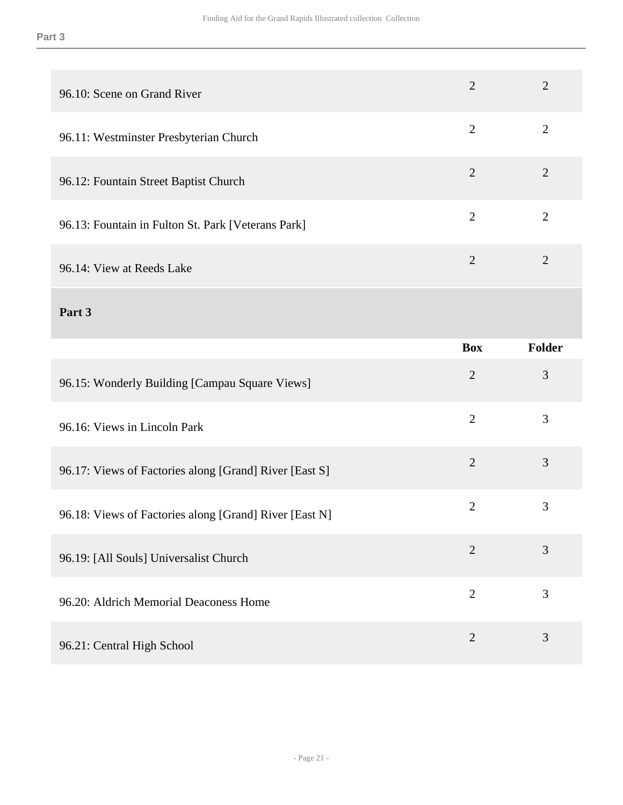| 96.10: Scene on Grand River                            | $\overline{2}$ | $\overline{2}$ |
|--------------------------------------------------------|----------------|----------------|
| 96.11: Westminster Presbyterian Church                 | $\overline{2}$ | $\overline{2}$ |
| 96.12: Fountain Street Baptist Church                  | $\overline{2}$ | $\overline{2}$ |
| 96.13: Fountain in Fulton St. Park [Veterans Park]     | $\overline{2}$ | $\overline{2}$ |
| 96.14: View at Reeds Lake                              | $\overline{2}$ | $\overline{2}$ |
| Part 3                                                 |                |                |
|                                                        | <b>Box</b>     | <b>Folder</b>  |
|                                                        |                |                |
| 96.15: Wonderly Building [Campau Square Views]         | $\overline{2}$ | 3              |
| 96.16: Views in Lincoln Park                           | $\overline{2}$ | 3              |
| 96.17: Views of Factories along [Grand] River [East S] | $\overline{2}$ | $\overline{3}$ |
| 96.18: Views of Factories along [Grand] River [East N] | $\overline{2}$ | 3              |
| 96.19: [All Souls] Universalist Church                 | $\overline{2}$ | 3              |
| 96.20: Aldrich Memorial Deaconess Home                 | $\overline{2}$ | 3              |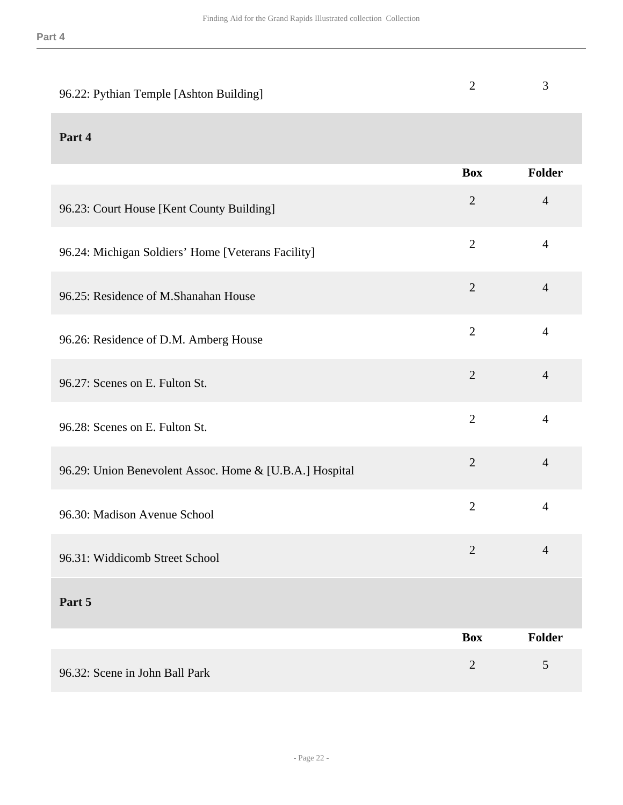| 96.22: Pythian Temple [Ashton Building]                 | $\overline{2}$ | 3              |
|---------------------------------------------------------|----------------|----------------|
| Part 4                                                  |                |                |
|                                                         | <b>Box</b>     | Folder         |
| 96.23: Court House [Kent County Building]               | $\overline{2}$ | $\overline{4}$ |
| 96.24: Michigan Soldiers' Home [Veterans Facility]      | $\mathbf{2}$   | $\overline{4}$ |
| 96.25: Residence of M.Shanahan House                    | $\overline{2}$ | $\overline{4}$ |
| 96.26: Residence of D.M. Amberg House                   | $\overline{2}$ | $\overline{4}$ |
| 96.27: Scenes on E. Fulton St.                          | $\overline{2}$ | $\overline{4}$ |
| 96.28: Scenes on E. Fulton St.                          | $\overline{2}$ | $\overline{4}$ |
| 96.29: Union Benevolent Assoc. Home & [U.B.A.] Hospital | $\overline{2}$ | $\overline{4}$ |
| 96.30: Madison Avenue School                            | $\overline{2}$ | 4              |
| 96.31: Widdicomb Street School                          | $\overline{2}$ | $\overline{4}$ |
| Part 5                                                  |                |                |
|                                                         | <b>Box</b>     | <b>Folder</b>  |
| 96.32: Scene in John Ball Park                          | $\mathbf{2}$   | 5              |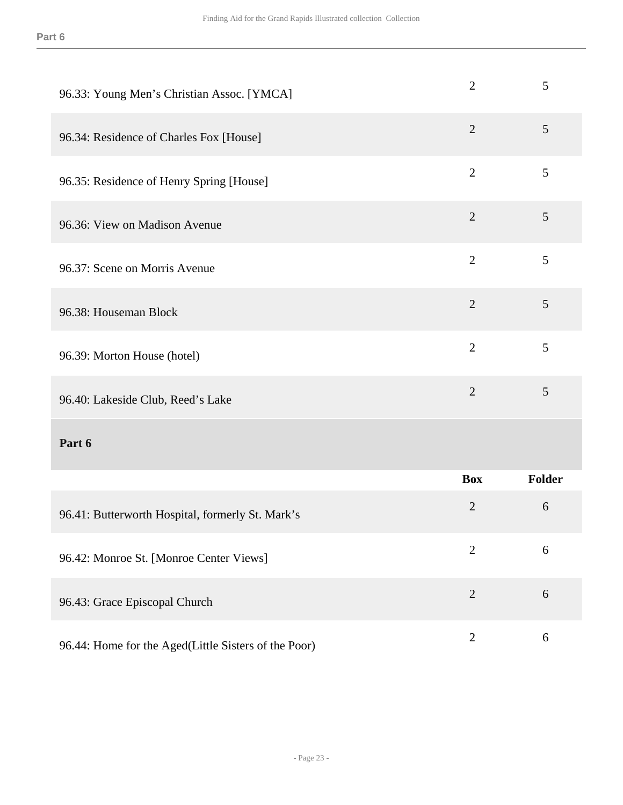| 96.33: Young Men's Christian Assoc. [YMCA]           | $\overline{2}$ | 5      |
|------------------------------------------------------|----------------|--------|
| 96.34: Residence of Charles Fox [House]              | $\overline{2}$ | 5      |
| 96.35: Residence of Henry Spring [House]             | $\overline{2}$ | 5      |
| 96.36: View on Madison Avenue                        | $\overline{2}$ | 5      |
| 96.37: Scene on Morris Avenue                        | $\overline{2}$ | 5      |
| 96.38: Houseman Block                                | $\overline{2}$ | 5      |
| 96.39: Morton House (hotel)                          | $\overline{2}$ | 5      |
| 96.40: Lakeside Club, Reed's Lake                    | $\overline{2}$ | 5      |
| Part 6                                               |                |        |
|                                                      | <b>Box</b>     | Folder |
| 96.41: Butterworth Hospital, formerly St. Mark's     | $\overline{2}$ | 6      |
| 96.42: Monroe St. [Monroe Center Views]              | $\overline{2}$ | 6      |
| 96.43: Grace Episcopal Church                        | $\overline{2}$ | $6\,$  |
| 96.44: Home for the Aged(Little Sisters of the Poor) | $\mathbf{2}$   | 6      |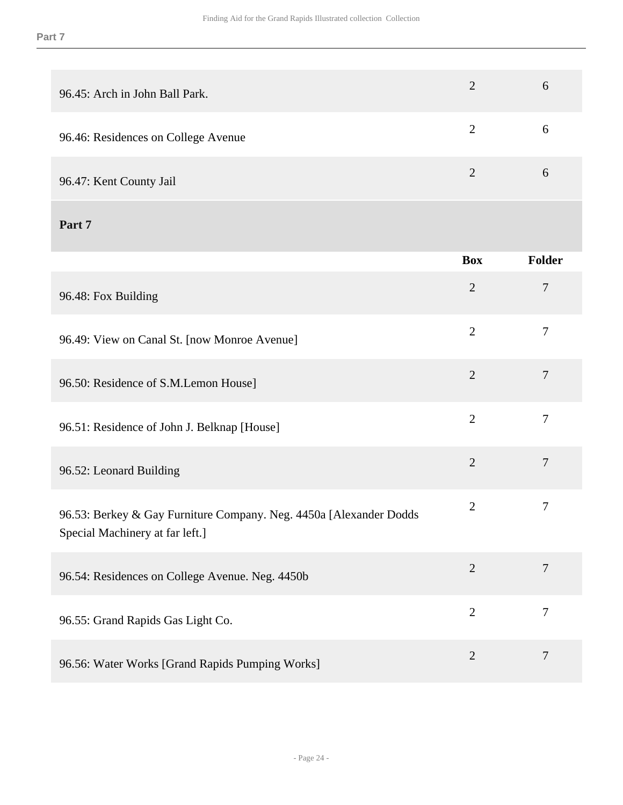| 96.45: Arch in John Ball Park.                                                                        | $\overline{2}$ | 6                |
|-------------------------------------------------------------------------------------------------------|----------------|------------------|
| 96.46: Residences on College Avenue                                                                   | $\overline{2}$ | 6                |
| 96.47: Kent County Jail                                                                               | $\overline{2}$ | 6                |
| Part 7                                                                                                |                |                  |
|                                                                                                       | <b>Box</b>     | <b>Folder</b>    |
| 96.48: Fox Building                                                                                   | $\overline{2}$ | 7                |
| 96.49: View on Canal St. [now Monroe Avenue]                                                          | $\overline{2}$ | $\overline{7}$   |
| 96.50: Residence of S.M.Lemon House]                                                                  | $\overline{2}$ | $\tau$           |
| 96.51: Residence of John J. Belknap [House]                                                           | $\overline{2}$ | $\overline{7}$   |
| 96.52: Leonard Building                                                                               | $\overline{2}$ | $\tau$           |
| 96.53: Berkey & Gay Furniture Company. Neg. 4450a [Alexander Dodds<br>Special Machinery at far left.] | $\overline{2}$ | $\tau$           |
| 96.54: Residences on College Avenue. Neg. 4450b                                                       | $\overline{2}$ | $\boldsymbol{7}$ |
| 96.55: Grand Rapids Gas Light Co.                                                                     | $\overline{2}$ | $\overline{7}$   |
| 96.56: Water Works [Grand Rapids Pumping Works]                                                       | $\overline{2}$ | $\boldsymbol{7}$ |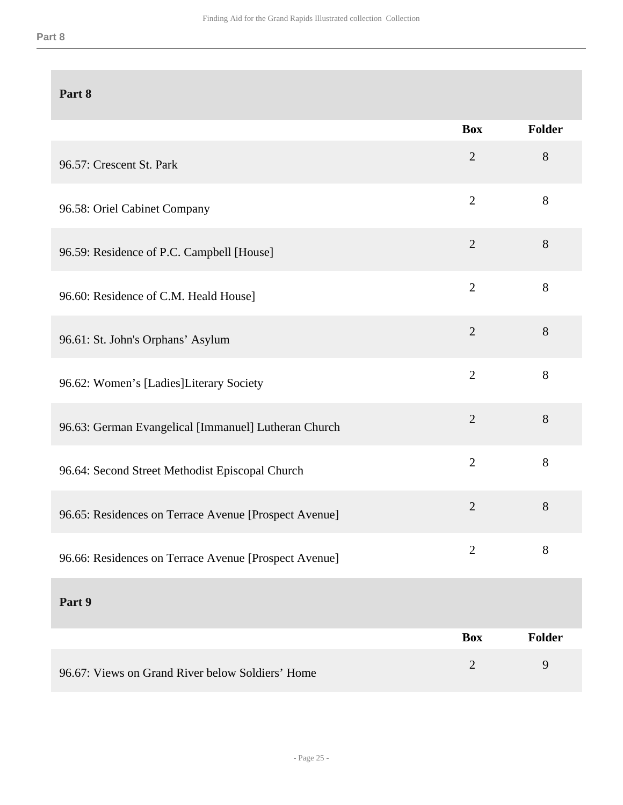|                                                       | <b>Box</b>     | <b>Folder</b> |
|-------------------------------------------------------|----------------|---------------|
| 96.57: Crescent St. Park                              | $\overline{2}$ | 8             |
| 96.58: Oriel Cabinet Company                          | $\overline{2}$ | 8             |
| 96.59: Residence of P.C. Campbell [House]             | $\overline{2}$ | 8             |
| 96.60: Residence of C.M. Heald House]                 | $\overline{2}$ | 8             |
| 96.61: St. John's Orphans' Asylum                     | $\overline{2}$ | 8             |
| 96.62: Women's [Ladies]Literary Society               | $\overline{2}$ | $8\,$         |
| 96.63: German Evangelical [Immanuel] Lutheran Church  | $\mathbf{2}$   | 8             |
| 96.64: Second Street Methodist Episcopal Church       | $\overline{2}$ | $8\,$         |
| 96.65: Residences on Terrace Avenue [Prospect Avenue] | $\overline{2}$ | 8             |
| 96.66: Residences on Terrace Avenue [Prospect Avenue] | $\overline{2}$ | 8             |
| Part 9                                                |                |               |
|                                                       | <b>Box</b>     | <b>Folder</b> |
| 96.67: Views on Grand River below Soldiers' Home      | $\overline{2}$ | 9             |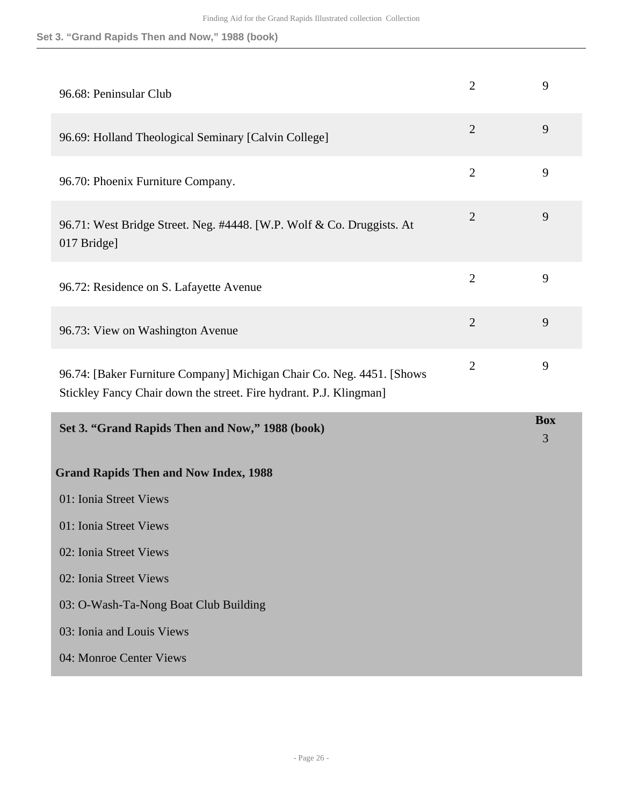<span id="page-25-0"></span>

| 96.68: Peninsular Club                                                                                                                      | $\overline{2}$ | 9               |
|---------------------------------------------------------------------------------------------------------------------------------------------|----------------|-----------------|
| 96.69: Holland Theological Seminary [Calvin College]                                                                                        | $\overline{2}$ | 9               |
| 96.70: Phoenix Furniture Company.                                                                                                           | $\overline{2}$ | 9               |
| 96.71: West Bridge Street. Neg. #4448. [W.P. Wolf & Co. Druggists. At<br>017 Bridge]                                                        | $\overline{2}$ | 9               |
| 96.72: Residence on S. Lafayette Avenue                                                                                                     | $\overline{2}$ | 9               |
| 96.73: View on Washington Avenue                                                                                                            | $\overline{2}$ | 9               |
|                                                                                                                                             |                |                 |
| 96.74: [Baker Furniture Company] Michigan Chair Co. Neg. 4451. [Shows<br>Stickley Fancy Chair down the street. Fire hydrant. P.J. Klingman] | $\overline{2}$ | 9               |
| Set 3. "Grand Rapids Then and Now," 1988 (book)                                                                                             |                | <b>Box</b><br>3 |
| <b>Grand Rapids Then and Now Index, 1988</b>                                                                                                |                |                 |
| 01: Ionia Street Views                                                                                                                      |                |                 |
| 01: Ionia Street Views                                                                                                                      |                |                 |
| 02: Ionia Street Views                                                                                                                      |                |                 |
| 02: Ionia Street Views                                                                                                                      |                |                 |
| 03: O-Wash-Ta-Nong Boat Club Building                                                                                                       |                |                 |
| 03: Ionia and Louis Views                                                                                                                   |                |                 |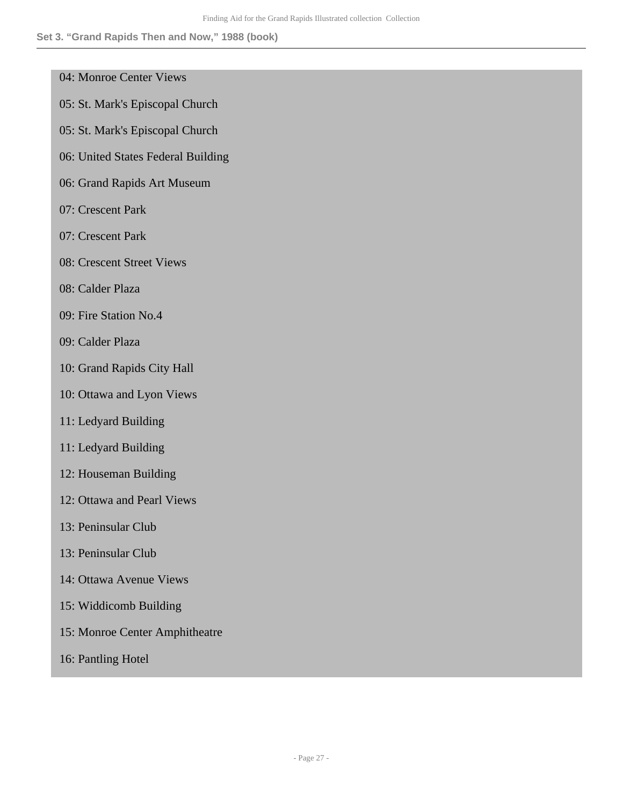- 04: Monroe Center Views
- 05: St. Mark's Episcopal Church
- 05: St. Mark's Episcopal Church
- 06: United States Federal Building
- 06: Grand Rapids Art Museum
- 07: Crescent Park
- 07: Crescent Park
- 08: Crescent Street Views
- 08: Calder Plaza
- 09: Fire Station No.4
- 09: Calder Plaza
- 10: Grand Rapids City Hall
- 10: Ottawa and Lyon Views
- 11: Ledyard Building
- 11: Ledyard Building
- 12: Houseman Building
- 12: Ottawa and Pearl Views
- 13: Peninsular Club
- 13: Peninsular Club
- 14: Ottawa Avenue Views
- 15: Widdicomb Building
- 15: Monroe Center Amphitheatre
- 16: Pantling Hotel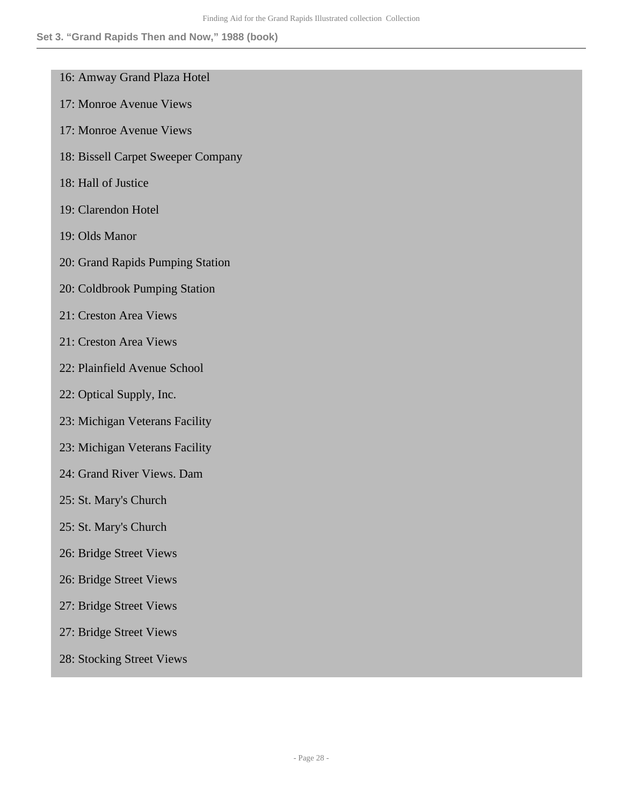- 16: Amway Grand Plaza Hotel
- 17: Monroe Avenue Views
- 17: Monroe Avenue Views
- 18: Bissell Carpet Sweeper Company
- 18: Hall of Justice
- 19: Clarendon Hotel
- 19: Olds Manor
- 20: Grand Rapids Pumping Station
- 20: Coldbrook Pumping Station
- 21: Creston Area Views
- 21: Creston Area Views
- 22: Plainfield Avenue School
- 22: Optical Supply, Inc.
- 23: Michigan Veterans Facility
- 23: Michigan Veterans Facility
- 24: Grand River Views. Dam
- 25: St. Mary's Church
- 25: St. Mary's Church
- 26: Bridge Street Views
- 26: Bridge Street Views
- 27: Bridge Street Views
- 27: Bridge Street Views
- 28: Stocking Street Views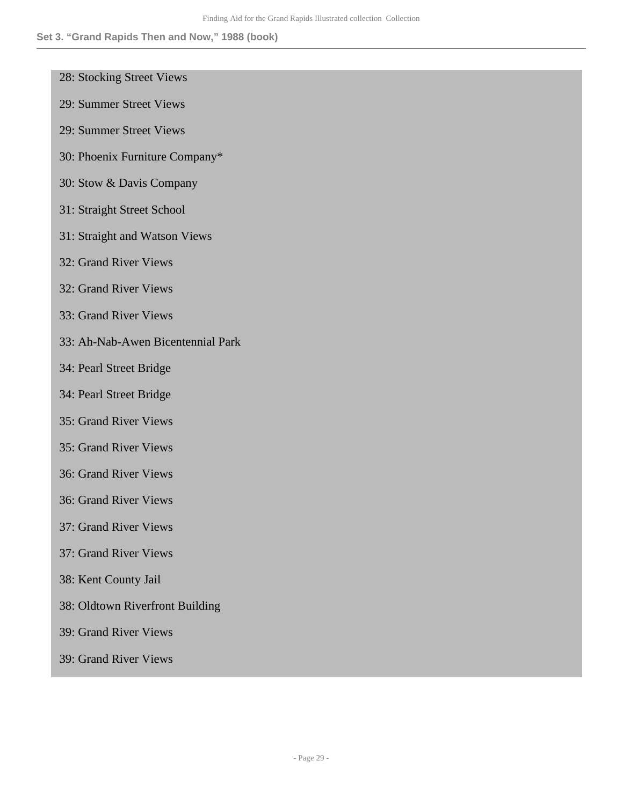- 28: Stocking Street Views
- 29: Summer Street Views
- 29: Summer Street Views
- 30: Phoenix Furniture Company\*
- 30: Stow & Davis Company
- 31: Straight Street School
- 31: Straight and Watson Views
- 32: Grand River Views
- 32: Grand River Views
- 33: Grand River Views
- 33: Ah-Nab-Awen Bicentennial Park
- 34: Pearl Street Bridge
- 34: Pearl Street Bridge
- 35: Grand River Views
- 35: Grand River Views
- 36: Grand River Views
- 36: Grand River Views
- 37: Grand River Views
- 37: Grand River Views
- 38: Kent County Jail
- 38: Oldtown Riverfront Building
- 39: Grand River Views
- 39: Grand River Views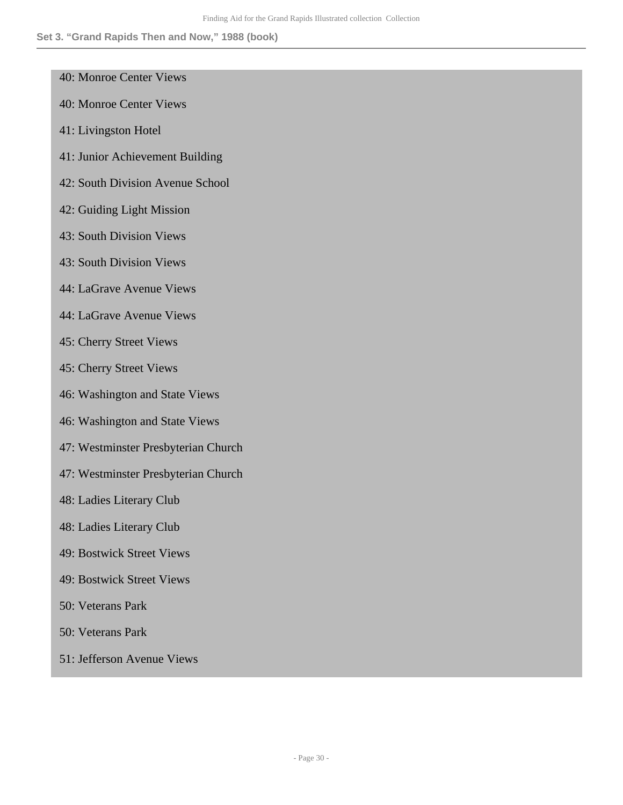- 40: Monroe Center Views
- 40: Monroe Center Views
- 41: Livingston Hotel
- 41: Junior Achievement Building
- 42: South Division Avenue School
- 42: Guiding Light Mission
- 43: South Division Views
- 43: South Division Views
- 44: LaGrave Avenue Views
- 44: LaGrave Avenue Views
- 45: Cherry Street Views
- 45: Cherry Street Views
- 46: Washington and State Views
- 46: Washington and State Views
- 47: Westminster Presbyterian Church
- 47: Westminster Presbyterian Church
- 48: Ladies Literary Club
- 48: Ladies Literary Club
- 49: Bostwick Street Views
- 49: Bostwick Street Views
- 50: Veterans Park
- 50: Veterans Park
- 51: Jefferson Avenue Views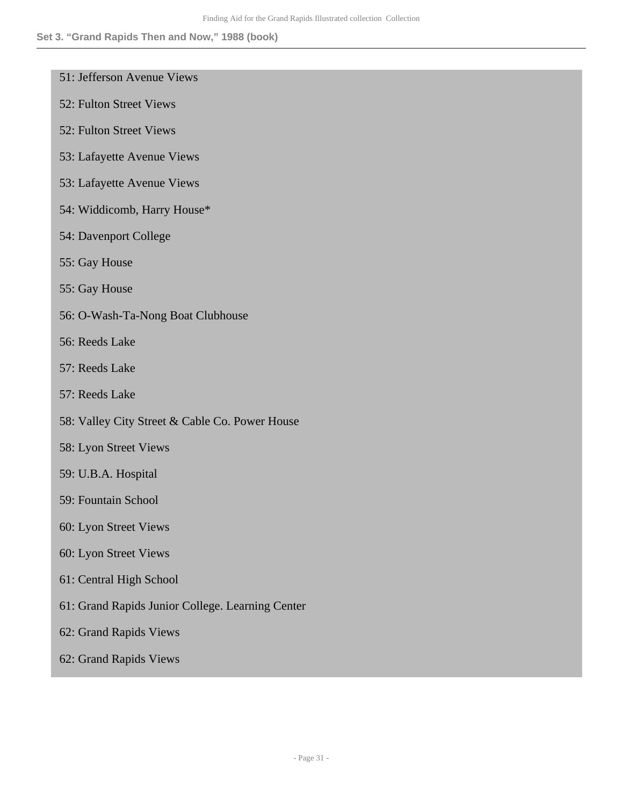- 51: Jefferson Avenue Views
- 52: Fulton Street Views
- 52: Fulton Street Views
- 53: Lafayette Avenue Views
- 53: Lafayette Avenue Views
- 54: Widdicomb, Harry House\*
- 54: Davenport College
- 55: Gay House
- 55: Gay House
- 56: O-Wash-Ta-Nong Boat Clubhouse
- 56: Reeds Lake
- 57: Reeds Lake
- 57: Reeds Lake
- 58: Valley City Street & Cable Co. Power House
- 58: Lyon Street Views
- 59: U.B.A. Hospital
- 59: Fountain School
- 60: Lyon Street Views
- 60: Lyon Street Views
- 61: Central High School
- 61: Grand Rapids Junior College. Learning Center
- 62: Grand Rapids Views
- 62: Grand Rapids Views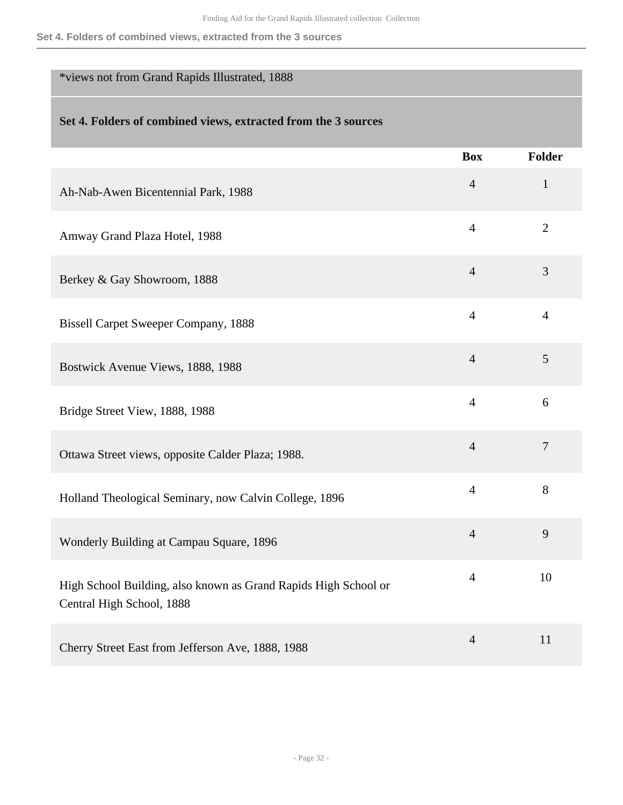## <span id="page-31-0"></span>\*views not from Grand Rapids Illustrated, 1888

|                                                                                              | <b>Box</b>     | <b>Folder</b>  |
|----------------------------------------------------------------------------------------------|----------------|----------------|
| Ah-Nab-Awen Bicentennial Park, 1988                                                          | $\overline{4}$ | $\mathbf{1}$   |
| Amway Grand Plaza Hotel, 1988                                                                | $\overline{4}$ | $\overline{2}$ |
| Berkey & Gay Showroom, 1888                                                                  | $\overline{4}$ | 3              |
| <b>Bissell Carpet Sweeper Company, 1888</b>                                                  | $\overline{4}$ | $\overline{4}$ |
| Bostwick Avenue Views, 1888, 1988                                                            | $\overline{4}$ | 5              |
| Bridge Street View, 1888, 1988                                                               | $\overline{4}$ | 6              |
| Ottawa Street views, opposite Calder Plaza; 1988.                                            | $\overline{4}$ | $\overline{7}$ |
| Holland Theological Seminary, now Calvin College, 1896                                       | $\overline{4}$ | 8              |
| Wonderly Building at Campau Square, 1896                                                     | $\overline{4}$ | 9              |
| High School Building, also known as Grand Rapids High School or<br>Central High School, 1888 | $\overline{4}$ | 10             |
| Cherry Street East from Jefferson Ave, 1888, 1988                                            | $\overline{4}$ | 11             |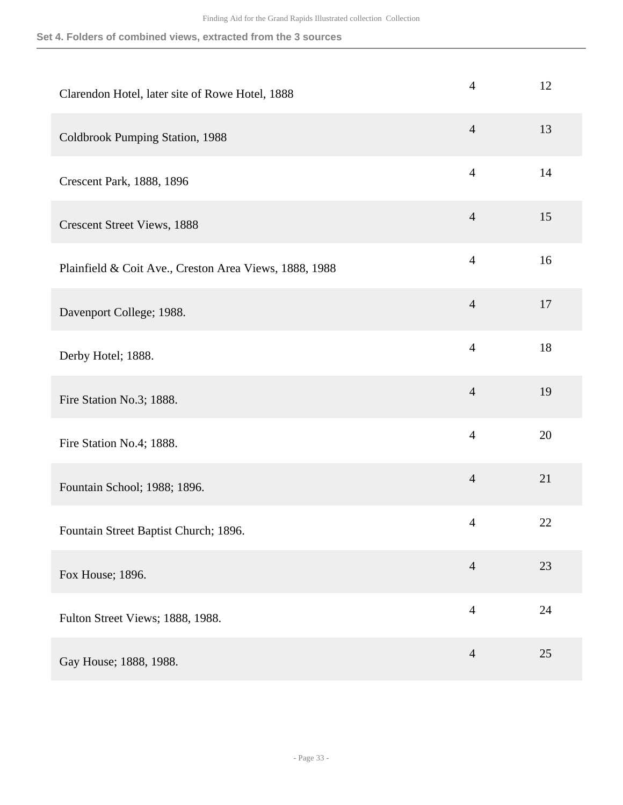| Clarendon Hotel, later site of Rowe Hotel, 1888        | $\overline{4}$ | 12 |
|--------------------------------------------------------|----------------|----|
| Coldbrook Pumping Station, 1988                        | $\overline{4}$ | 13 |
| Crescent Park, 1888, 1896                              | $\overline{4}$ | 14 |
| <b>Crescent Street Views, 1888</b>                     | $\overline{4}$ | 15 |
| Plainfield & Coit Ave., Creston Area Views, 1888, 1988 | $\overline{4}$ | 16 |
| Davenport College; 1988.                               | $\overline{4}$ | 17 |
| Derby Hotel; 1888.                                     | $\overline{4}$ | 18 |
| Fire Station No.3; 1888.                               | $\overline{4}$ | 19 |
| Fire Station No.4; 1888.                               | $\overline{4}$ | 20 |
| Fountain School; 1988; 1896.                           | $\overline{4}$ | 21 |
| Fountain Street Baptist Church; 1896.                  | $\overline{4}$ | 22 |
| Fox House; 1896.                                       | $\overline{4}$ | 23 |
| Fulton Street Views; 1888, 1988.                       | $\overline{4}$ | 24 |
| Gay House; 1888, 1988.                                 | $\overline{4}$ | 25 |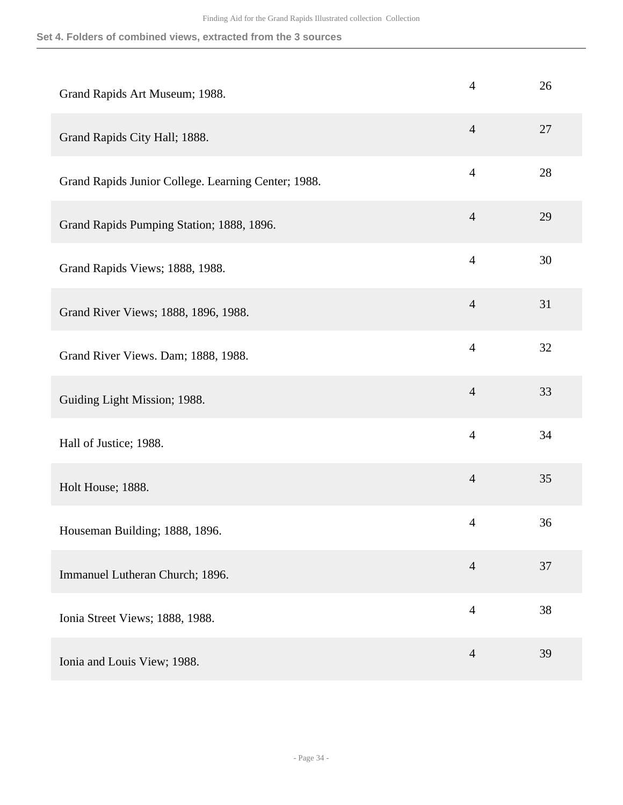| Grand Rapids Art Museum; 1988.                      | $\overline{4}$ | 26 |
|-----------------------------------------------------|----------------|----|
| Grand Rapids City Hall; 1888.                       | $\overline{4}$ | 27 |
| Grand Rapids Junior College. Learning Center; 1988. | $\overline{4}$ | 28 |
| Grand Rapids Pumping Station; 1888, 1896.           | $\overline{4}$ | 29 |
| Grand Rapids Views; 1888, 1988.                     | $\overline{4}$ | 30 |
| Grand River Views; 1888, 1896, 1988.                | $\overline{4}$ | 31 |
| Grand River Views. Dam; 1888, 1988.                 | $\overline{4}$ | 32 |
| Guiding Light Mission; 1988.                        | $\overline{4}$ | 33 |
| Hall of Justice; 1988.                              | $\overline{4}$ | 34 |
| Holt House; 1888.                                   | $\overline{4}$ | 35 |
| Houseman Building; 1888, 1896.                      | $\overline{4}$ | 36 |
| Immanuel Lutheran Church; 1896.                     | $\overline{4}$ | 37 |
| Ionia Street Views; 1888, 1988.                     | $\overline{4}$ | 38 |
| Ionia and Louis View; 1988.                         | $\overline{4}$ | 39 |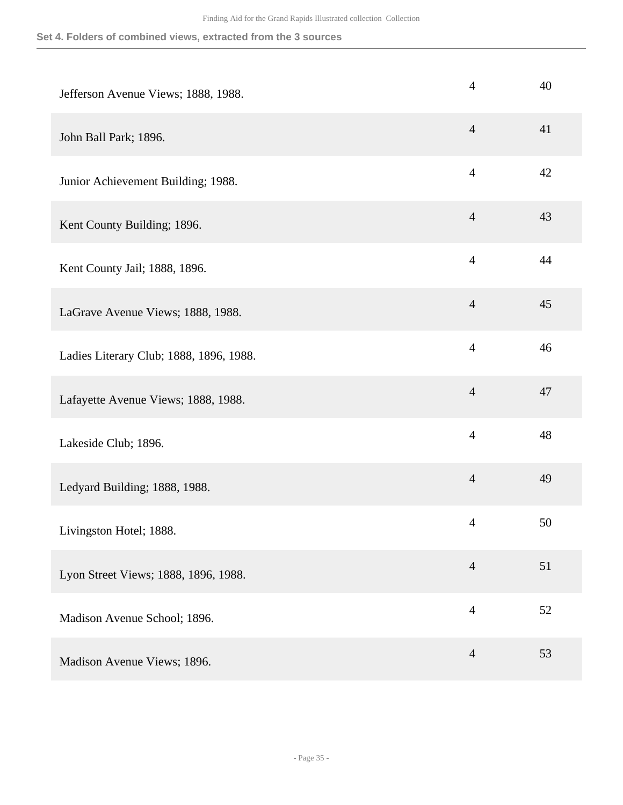| Jefferson Avenue Views; 1888, 1988.     | $\overline{4}$ | 40 |
|-----------------------------------------|----------------|----|
| John Ball Park; 1896.                   | $\overline{4}$ | 41 |
| Junior Achievement Building; 1988.      | $\overline{4}$ | 42 |
| Kent County Building; 1896.             | $\overline{4}$ | 43 |
| Kent County Jail; 1888, 1896.           | $\overline{4}$ | 44 |
| LaGrave Avenue Views; 1888, 1988.       | $\overline{4}$ | 45 |
| Ladies Literary Club; 1888, 1896, 1988. | $\overline{4}$ | 46 |
| Lafayette Avenue Views; 1888, 1988.     | $\overline{4}$ | 47 |
| Lakeside Club; 1896.                    | $\overline{4}$ | 48 |
| Ledyard Building; 1888, 1988.           | $\overline{4}$ | 49 |
| Livingston Hotel; 1888.                 | $\overline{4}$ | 50 |
| Lyon Street Views; 1888, 1896, 1988.    | $\overline{4}$ | 51 |
| Madison Avenue School; 1896.            | $\overline{4}$ | 52 |
| Madison Avenue Views; 1896.             | $\overline{4}$ | 53 |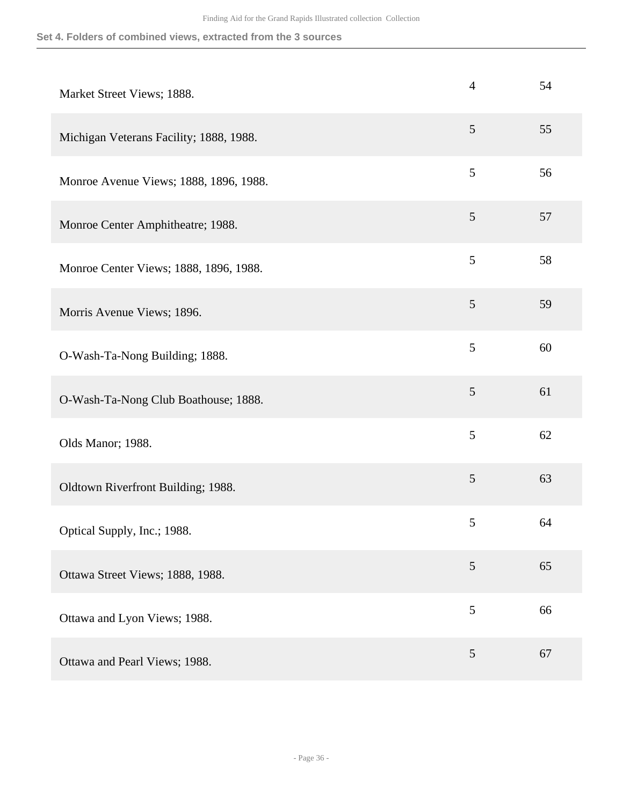| Market Street Views; 1888.              | $\overline{4}$ | 54 |
|-----------------------------------------|----------------|----|
| Michigan Veterans Facility; 1888, 1988. | $\mathfrak{S}$ | 55 |
| Monroe Avenue Views; 1888, 1896, 1988.  | 5              | 56 |
| Monroe Center Amphitheatre; 1988.       | $\mathfrak{S}$ | 57 |
| Monroe Center Views; 1888, 1896, 1988.  | 5              | 58 |
| Morris Avenue Views; 1896.              | 5              | 59 |
| O-Wash-Ta-Nong Building; 1888.          | 5              | 60 |
| O-Wash-Ta-Nong Club Boathouse; 1888.    | $\mathfrak{S}$ | 61 |
| Olds Manor; 1988.                       | 5              | 62 |
| Oldtown Riverfront Building; 1988.      | $\mathfrak{S}$ | 63 |
| Optical Supply, Inc.; 1988.             | 5              | 64 |
| Ottawa Street Views; 1888, 1988.        | $\mathfrak{S}$ | 65 |
| Ottawa and Lyon Views; 1988.            | $\mathfrak{S}$ | 66 |
| Ottawa and Pearl Views; 1988.           | 5              | 67 |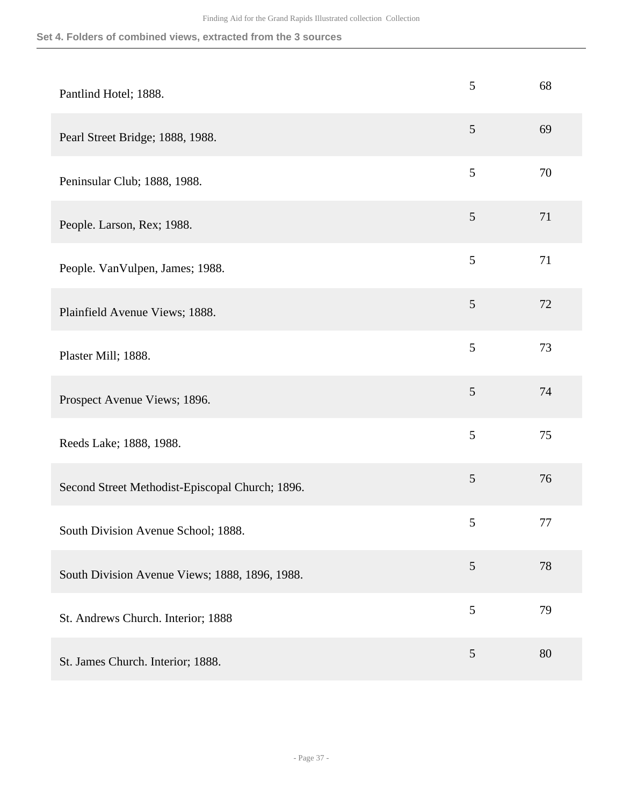| Pantlind Hotel; 1888.                           | 5              | 68 |
|-------------------------------------------------|----------------|----|
| Pearl Street Bridge; 1888, 1988.                | 5              | 69 |
| Peninsular Club; 1888, 1988.                    | 5              | 70 |
| People. Larson, Rex; 1988.                      | $\mathfrak{S}$ | 71 |
| People. VanVulpen, James; 1988.                 | 5              | 71 |
| Plainfield Avenue Views; 1888.                  | $\mathfrak{S}$ | 72 |
| Plaster Mill; 1888.                             | 5              | 73 |
| Prospect Avenue Views; 1896.                    | 5              | 74 |
| Reeds Lake; 1888, 1988.                         | 5              | 75 |
| Second Street Methodist-Episcopal Church; 1896. | $\mathfrak{S}$ | 76 |
| South Division Avenue School; 1888.             | 5              | 77 |
| South Division Avenue Views; 1888, 1896, 1988.  | 5              | 78 |
| St. Andrews Church. Interior; 1888              | 5              | 79 |
| St. James Church. Interior; 1888.               | $\mathfrak{S}$ | 80 |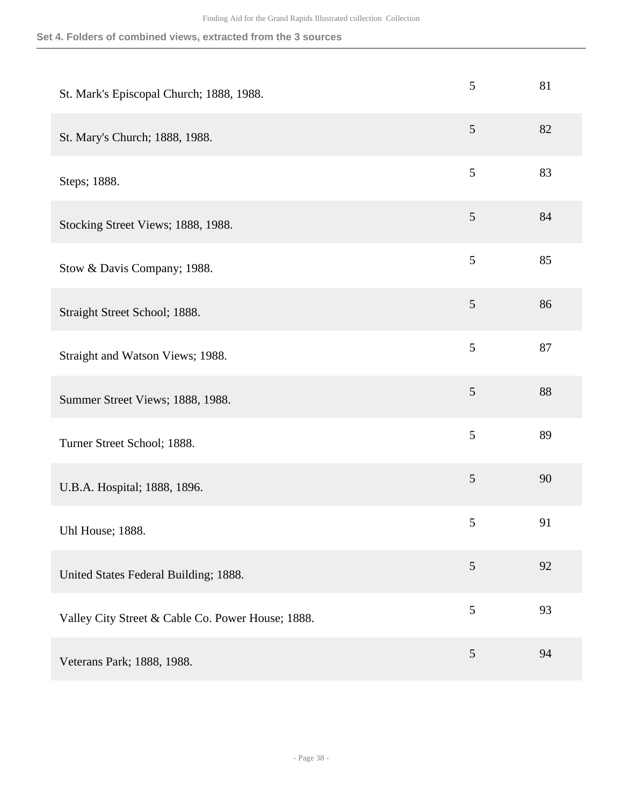| St. Mark's Episcopal Church; 1888, 1988.          | 5              | 81 |
|---------------------------------------------------|----------------|----|
| St. Mary's Church; 1888, 1988.                    | $\mathfrak{S}$ | 82 |
| Steps; 1888.                                      | $\mathfrak{S}$ | 83 |
| Stocking Street Views; 1888, 1988.                | $\mathfrak{S}$ | 84 |
| Stow & Davis Company; 1988.                       | 5              | 85 |
| Straight Street School; 1888.                     | 5              | 86 |
| Straight and Watson Views; 1988.                  | 5              | 87 |
| Summer Street Views; 1888, 1988.                  | $\mathfrak{S}$ | 88 |
| Turner Street School; 1888.                       | 5              | 89 |
| U.B.A. Hospital; 1888, 1896.                      | $\mathfrak{S}$ | 90 |
| Uhl House; 1888.                                  | 5              | 91 |
| United States Federal Building; 1888.             | 5              | 92 |
| Valley City Street & Cable Co. Power House; 1888. | 5              | 93 |
| Veterans Park; 1888, 1988.                        | $\mathfrak{S}$ | 94 |